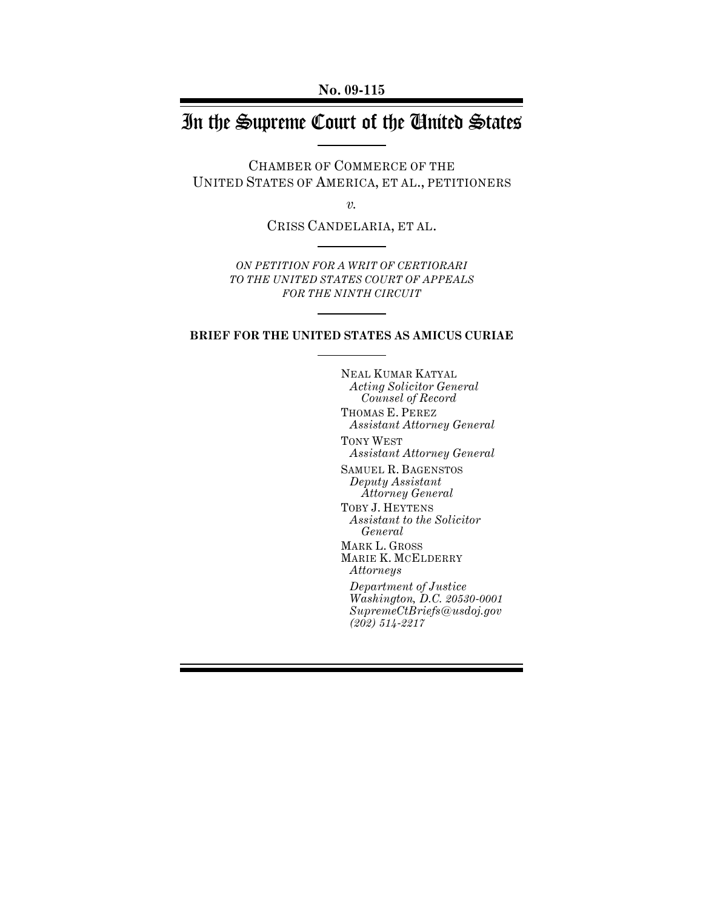**No. 09-115** 

# In the Supreme Court of the United States

CHAMBER OF COMMERCE OF THE UNITED STATES OF AMERICA, ET AL., PETITIONERS

*v.* 

CRISS CANDELARIA, ET AL.

*ON PETITION FOR A WRIT OF CERTIORARI TO THE UNITED STATES COURT OF APPEALS FOR THE NINTH CIRCUIT*

#### **BRIEF FOR THE UNITED STATES AS AMICUS CURIAE**

NEAL KUMAR KATYAL *Acting Solicitor General Counsel of Record* 

THOMAS E. PEREZ *Assistant Attorney General* 

TONY WEST *Assistant Attorney General* 

SAMUEL R. BAGENSTOS *Deputy Assistant Attorney General*  TOBY J. HEYTENS *Assistant to the Solicitor General*  MARK L. GROSS MARIE K. MCELDERRY *Attorneys Department of Justice* 

*Washington, D.C. 20530-0001 SupremeCtBriefs@usdoj.gov (202) 514-2217*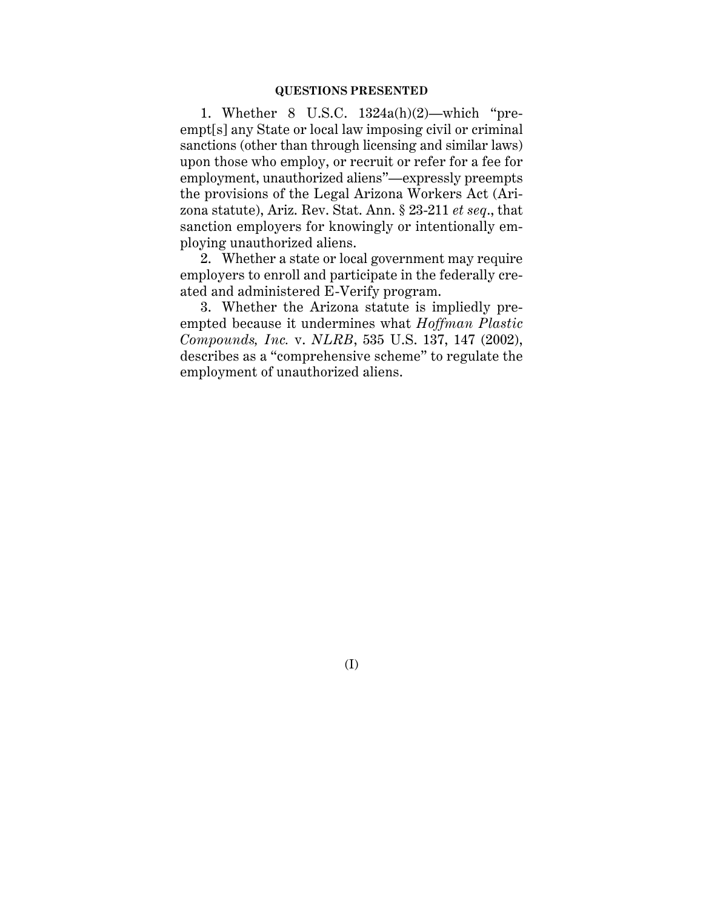#### **QUESTIONS PRESENTED**

1. Whether 8 U.S.C. 1324a(h)(2)—which "preempt[s] any State or local law imposing civil or criminal sanctions (other than through licensing and similar laws) upon those who employ, or recruit or refer for a fee for employment, unauthorized aliens"—expressly preempts the provisions of the Legal Arizona Workers Act (Arizona statute), Ariz. Rev. Stat. Ann. § 23-211 *et seq*., that sanction employers for knowingly or intentionally employing unauthorized aliens.

2. Whether a state or local government may require employers to enroll and participate in the federally created and administered E-Verify program.

3. Whether the Arizona statute is impliedly preempted because it undermines what *Hoffman Plastic Compounds, Inc.* v. *NLRB*, 535 U.S. 137, 147 (2002), describes as a "comprehensive scheme" to regulate the employment of unauthorized aliens.

(I)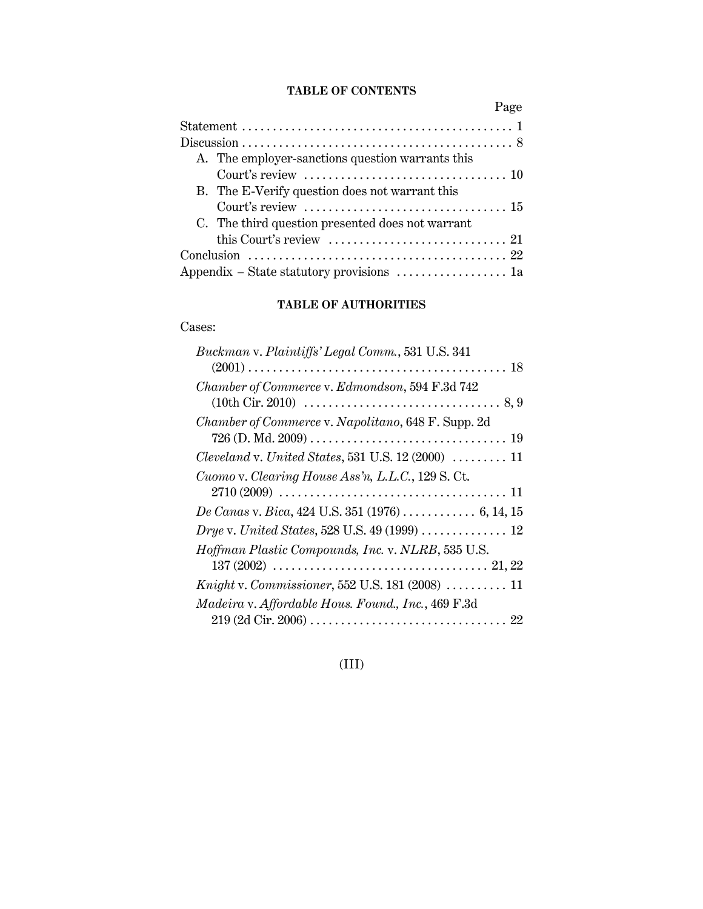## **TABLE OF CONTENTS**

| Page                                                                          |
|-------------------------------------------------------------------------------|
|                                                                               |
|                                                                               |
| A. The employer-sanctions question warrants this                              |
| Court's review $\dots\dots\dots\dots\dots\dots\dots\dots\dots\dots\dots\dots$ |
| B. The E-Verify question does not warrant this                                |
| Court's review $\dots\dots\dots\dots\dots\dots\dots\dots\dots\dots\dots$      |
| C. The third question presented does not warrant                              |
| this Court's review $\dots\dots\dots\dots\dots\dots\dots\dots\dots 21$        |
|                                                                               |
| Appendix – State statutory provisions $\dots\dots\dots\dots\dots\dots$ la     |

# **TABLE OF AUTHORITIES**

# Cases:

| Buckman v. Plaintiffs' Legal Comm., 531 U.S. 341                                                            |
|-------------------------------------------------------------------------------------------------------------|
|                                                                                                             |
| Chamber of Commerce v. Edmondson, 594 F.3d 742                                                              |
|                                                                                                             |
| Chamber of Commerce v. Napolitano, 648 F. Supp. 2d                                                          |
|                                                                                                             |
| Cleveland v. United States, 531 U.S. 12 (2000) $\ldots \ldots \ldots$ 11                                    |
| Cuomo v. Clearing House Ass'n, L.L.C., 129 S.Ct.                                                            |
| $2710 (2009) \ldots \ldots \ldots \ldots \ldots \ldots \ldots \ldots \ldots \ldots \ldots \ldots \ldots 11$ |
|                                                                                                             |
|                                                                                                             |
| Hoffman Plastic Compounds, Inc. v. NLRB, 535 U.S.                                                           |
|                                                                                                             |
| <i>Knight v. Commissioner</i> , 552 U.S. 181 (2008) $\ldots \ldots \ldots 11$                               |
| Madeira v. Affordable Hous. Found., Inc., 469 F.3d                                                          |
|                                                                                                             |

# (III)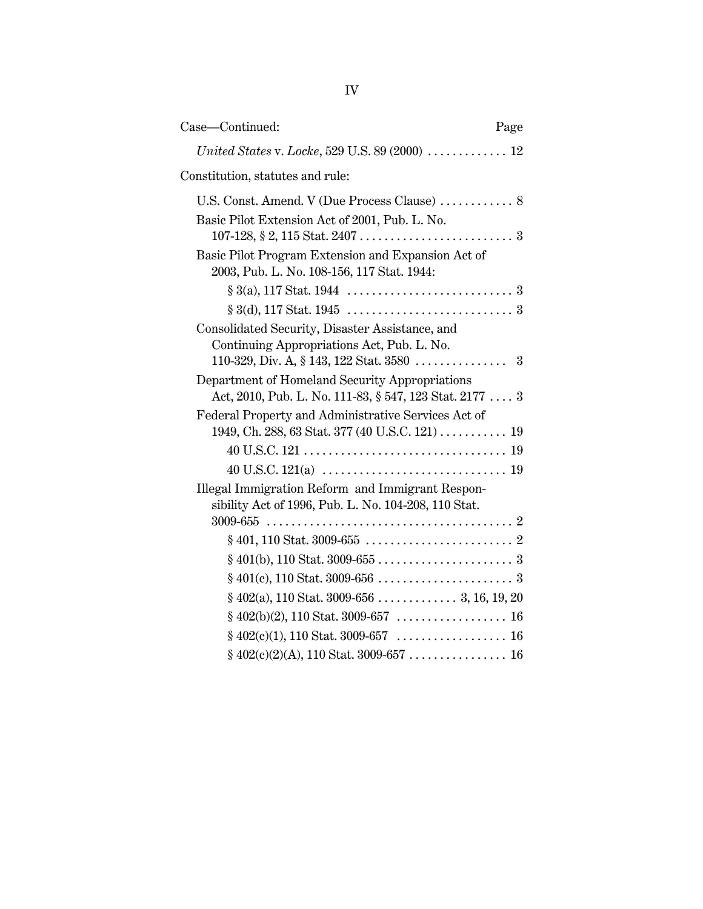| Case-Continued:                                                                                          | Page |
|----------------------------------------------------------------------------------------------------------|------|
|                                                                                                          |      |
| Constitution, statutes and rule:                                                                         |      |
|                                                                                                          |      |
| Basic Pilot Extension Act of 2001, Pub. L. No.                                                           |      |
| Basic Pilot Program Extension and Expansion Act of<br>2003, Pub. L. No. 108-156, 117 Stat. 1944:         |      |
|                                                                                                          |      |
|                                                                                                          |      |
| Consolidated Security, Disaster Assistance, and<br>Continuing Appropriations Act, Pub. L. No.            |      |
| Department of Homeland Security Appropriations                                                           |      |
| Act, 2010, Pub. L. No. 111-83, § 547, 123 Stat. 2177  3                                                  |      |
| Federal Property and Administrative Services Act of                                                      |      |
| 1949, Ch. 288, 63 Stat. 377 (40 U.S.C. 121) 19                                                           |      |
|                                                                                                          |      |
|                                                                                                          |      |
| Illegal Immigration Reform and Immigrant Respon-<br>sibility Act of 1996, Pub. L. No. 104-208, 110 Stat. |      |
|                                                                                                          |      |
|                                                                                                          |      |
|                                                                                                          |      |
|                                                                                                          |      |
|                                                                                                          |      |
|                                                                                                          |      |
|                                                                                                          |      |
|                                                                                                          |      |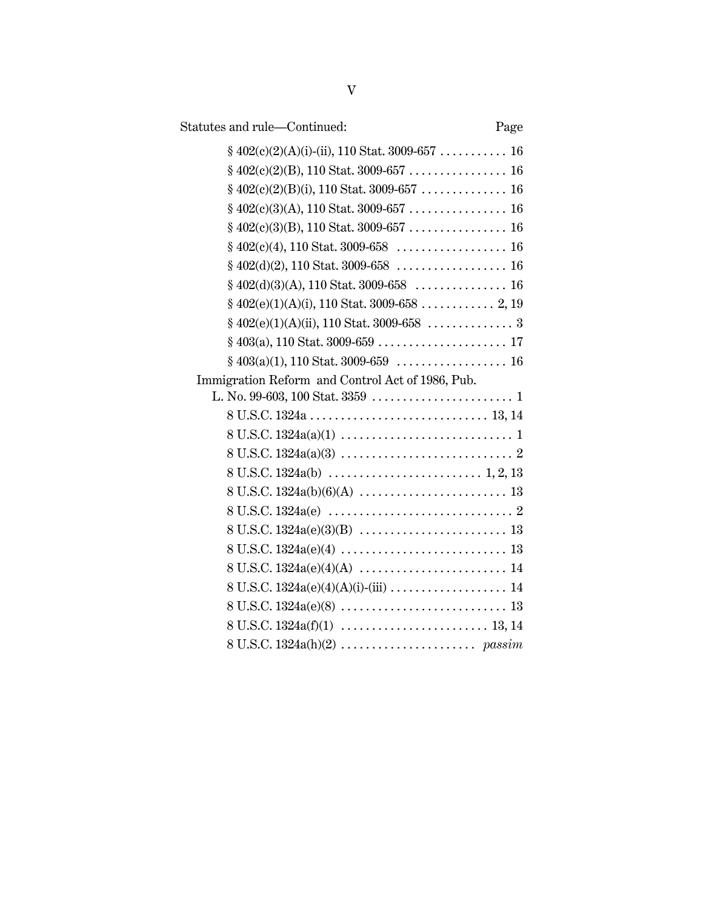| Statutes and rule-Continued:                     | Page |
|--------------------------------------------------|------|
|                                                  |      |
|                                                  |      |
|                                                  |      |
|                                                  |      |
|                                                  |      |
|                                                  |      |
|                                                  |      |
|                                                  |      |
|                                                  |      |
|                                                  |      |
|                                                  |      |
|                                                  |      |
| Immigration Reform and Control Act of 1986, Pub. |      |
|                                                  |      |
|                                                  |      |
|                                                  |      |
|                                                  |      |
|                                                  |      |
|                                                  |      |
|                                                  |      |
|                                                  |      |
|                                                  |      |
|                                                  |      |
|                                                  |      |
|                                                  |      |
|                                                  |      |
|                                                  |      |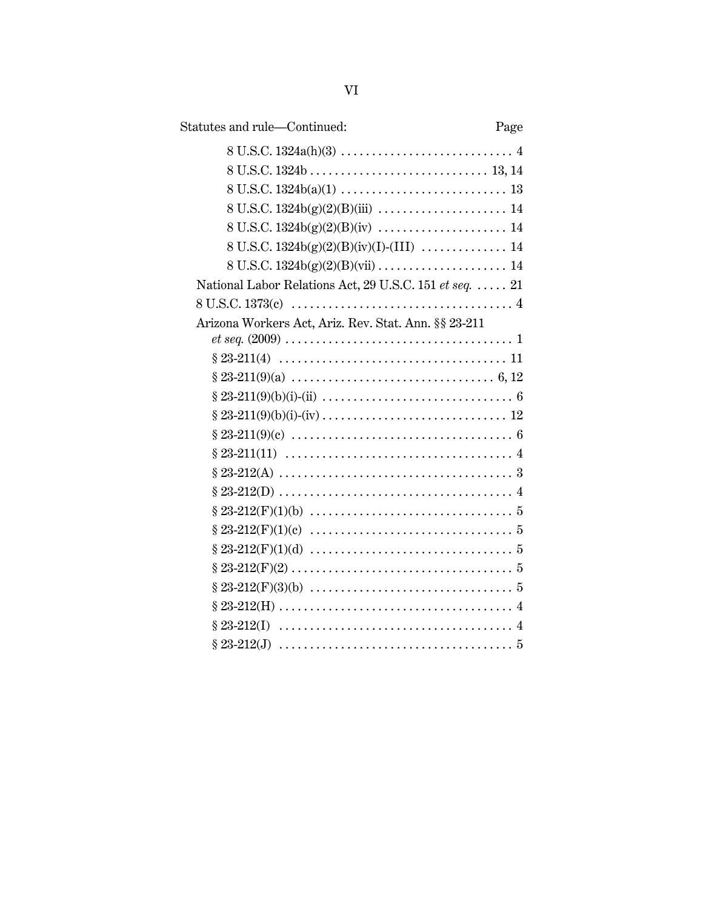| Statutes and rule-Continued:                            | Page |
|---------------------------------------------------------|------|
|                                                         |      |
|                                                         |      |
|                                                         |      |
|                                                         |      |
|                                                         |      |
|                                                         |      |
|                                                         |      |
| National Labor Relations Act, 29 U.S.C. 151 et seq.  21 |      |
|                                                         |      |
| Arizona Workers Act, Ariz. Rev. Stat. Ann. §§ 23-211    |      |
|                                                         |      |
|                                                         |      |
|                                                         |      |
|                                                         |      |
|                                                         |      |
|                                                         |      |
|                                                         |      |
|                                                         |      |
|                                                         |      |
|                                                         |      |
|                                                         |      |
|                                                         |      |
|                                                         |      |
|                                                         |      |
|                                                         |      |
|                                                         |      |
|                                                         |      |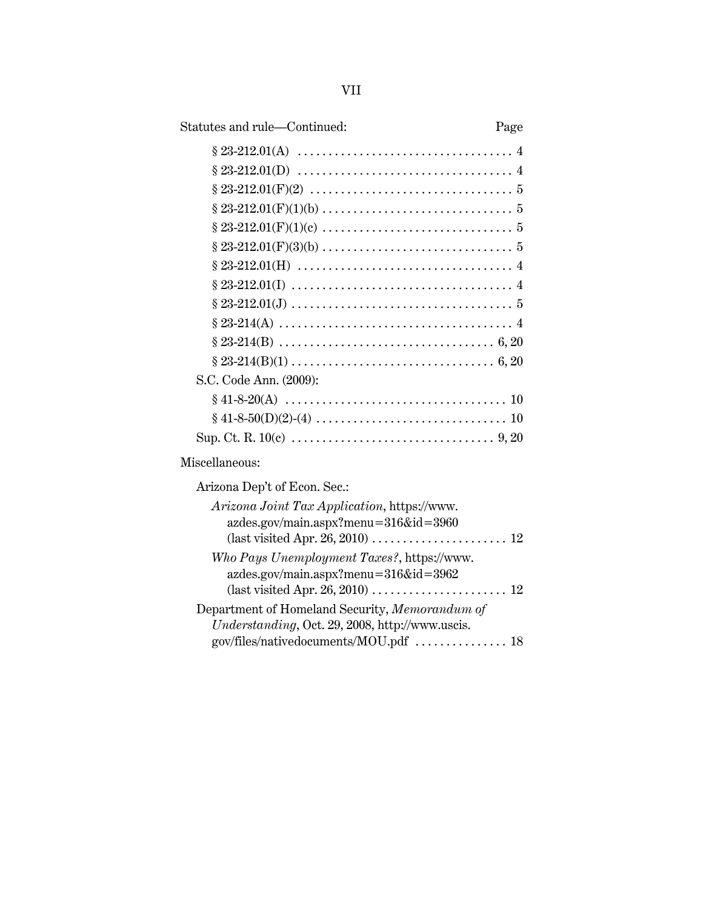| Statutes and rule—Continued:                                                                               | Page |
|------------------------------------------------------------------------------------------------------------|------|
|                                                                                                            |      |
|                                                                                                            |      |
|                                                                                                            |      |
|                                                                                                            |      |
|                                                                                                            |      |
|                                                                                                            |      |
| $\S~23\text{-}212.01\text{(H)}\;\dots\ldots\ldots\ldots\ldots\ldots\ldots\ldots\ldots\ldots\ldots\quad\;4$ |      |
|                                                                                                            |      |
|                                                                                                            |      |
|                                                                                                            |      |
|                                                                                                            |      |
|                                                                                                            |      |
| S.C. Code Ann. (2009):                                                                                     |      |
|                                                                                                            |      |
|                                                                                                            |      |
|                                                                                                            |      |
| Miscellaneous:                                                                                             |      |
| Arizona Dep't of Econ. Sec.:                                                                               |      |
| Arizona Joint Tax Application, https://www.<br>azdes.gov/main.aspx?menu=316&id=3960                        |      |
|                                                                                                            |      |
| Who Pays Unemployment Taxes?, https://www.<br>azdes.gov/main.aspx?menu=316&id=3962                         |      |
|                                                                                                            |      |

Department of Homeland Security, *Memorandum of Understanding*, Oct. 29, 2008, http://www.uscis.

gov/files/nativedocuments/MOU.pdf  $\,\ldots\ldots\ldots\ldots\ldots\,$  .18

VII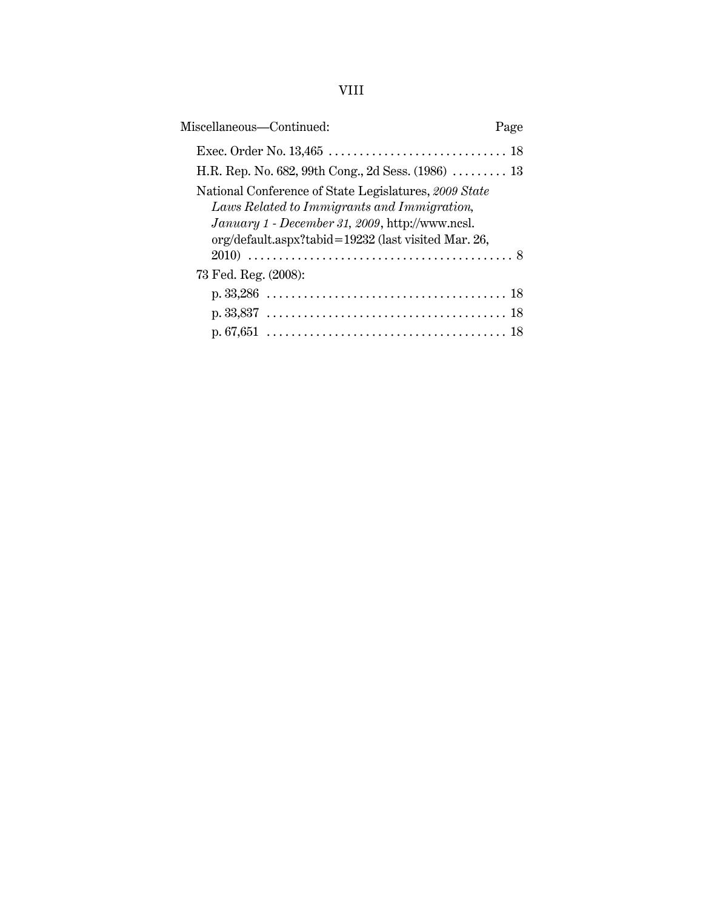# VIII

| Miscellaneous—Continued:                                                                                                                                                                                       | Page |
|----------------------------------------------------------------------------------------------------------------------------------------------------------------------------------------------------------------|------|
|                                                                                                                                                                                                                |      |
| H.R. Rep. No. 682, 99th Cong., 2d Sess. $(1986)$ 13                                                                                                                                                            |      |
| National Conference of State Legislatures, 2009 State<br>Laws Related to Immigrants and Immigration,<br>January 1 - December 31, 2009, http://www.ncsl.<br>org/default.aspx?tabid=19232 (last visited Mar. 26, |      |
|                                                                                                                                                                                                                |      |
| 73 Fed. Reg. (2008):                                                                                                                                                                                           |      |
|                                                                                                                                                                                                                |      |
|                                                                                                                                                                                                                |      |
|                                                                                                                                                                                                                |      |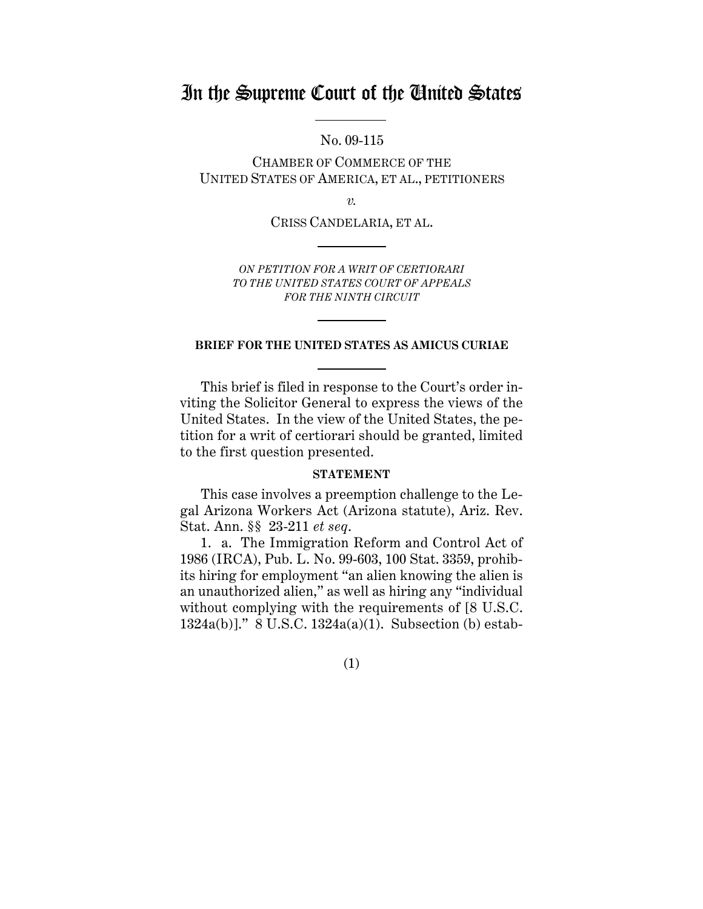# In the Supreme Court of the United States

No. 09-115

CHAMBER OF COMMERCE OF THE UNITED STATES OF AMERICA, ET AL., PETITIONERS

 $\overline{\nu}$ .

CRISS CANDELARIA, ET AL.

*ON PETITION FOR A WRIT OF CERTIORARI TO THE UNITED STATES COURT OF APPEALS FOR THE NINTH CIRCUIT*

#### **BRIEF FOR THE UNITED STATES AS AMICUS CURIAE**

This brief is filed in response to the Court's order inviting the Solicitor General to express the views of the United States. In the view of the United States, the petition for a writ of certiorari should be granted, limited to the first question presented.

#### **STATEMENT**

This case involves a preemption challenge to the Legal Arizona Workers Act (Arizona statute), Ariz. Rev. Stat. Ann. §§ 23-211 *et seq*.

1. a. The Immigration Reform and Control Act of 1986 (IRCA), Pub. L. No. 99-603, 100 Stat. 3359, prohibits hiring for employment "an alien knowing the alien is an unauthorized alien," as well as hiring any "individual without complying with the requirements of [8 U.S.C. 1324a(b)]." 8 U.S.C. 1324a(a)(1). Subsection (b) estab-

(1)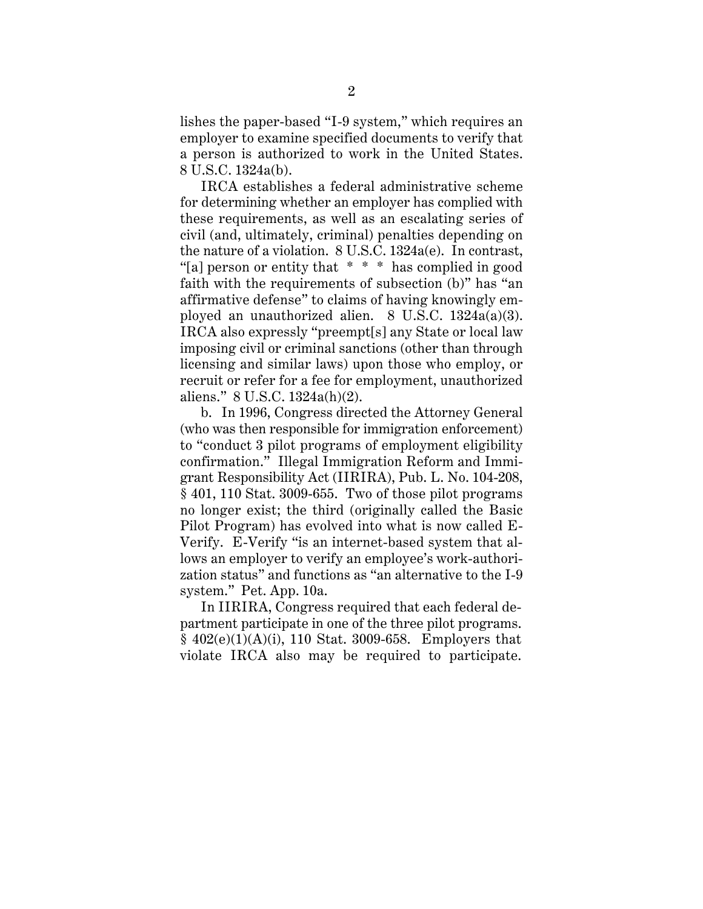<span id="page-9-0"></span>lishes the paper-based "I-9 system," which requires an employer to examine specified documents to verify that a person is authorized to work in the United States. 8 U.S.C. 1324a(b).

IRCA establishes a federal administrative scheme for determining whether an employer has complied with these requirements, as well as an escalating series of civil (and, ultimately, criminal) penalties depending on the nature of a violation. 8 U.S.C. 1324a(e). In contrast, "[a] person or entity that \* \* \* has complied in good faith with the requirements of subsection (b)" has "an affirmative defense" to claims of having knowingly employed an unauthorized alien. 8 U.S.C. 1324a(a)(3). IRCA also expressly "preempt[s] any State or local law imposing civil or criminal sanctions (other than through licensing and similar laws) upon those who employ, or recruit or refer for a fee for employment, unauthorized aliens." 8 U.S.C. 1324a(h)(2).

b. In 1996, Congress directed the Attorney General (who was then responsible for immigration enforcement) to "conduct 3 pilot programs of employment eligibility confirmation." Illegal Immigration Reform and Immigrant Responsibility Act (IIRIRA), Pub. L. No. 104-208, § 401, 110 Stat. 3009-655. Two of those pilot programs no longer exist; the third (originally called the Basic Pilot Program) has evolved into what is now called E-Verify. E-Verify "is an internet-based system that allows an employer to verify an employee's work-authorization status" and functions as "an alternative to the I-9 system." Pet. App. 10a.

In IIRIRA, Congress required that each federal department participate in one of the three pilot programs.  $§$  402(e)(1)(A)(i), 110 Stat. 3009-658. Employers that violate IRCA also may be required to participate.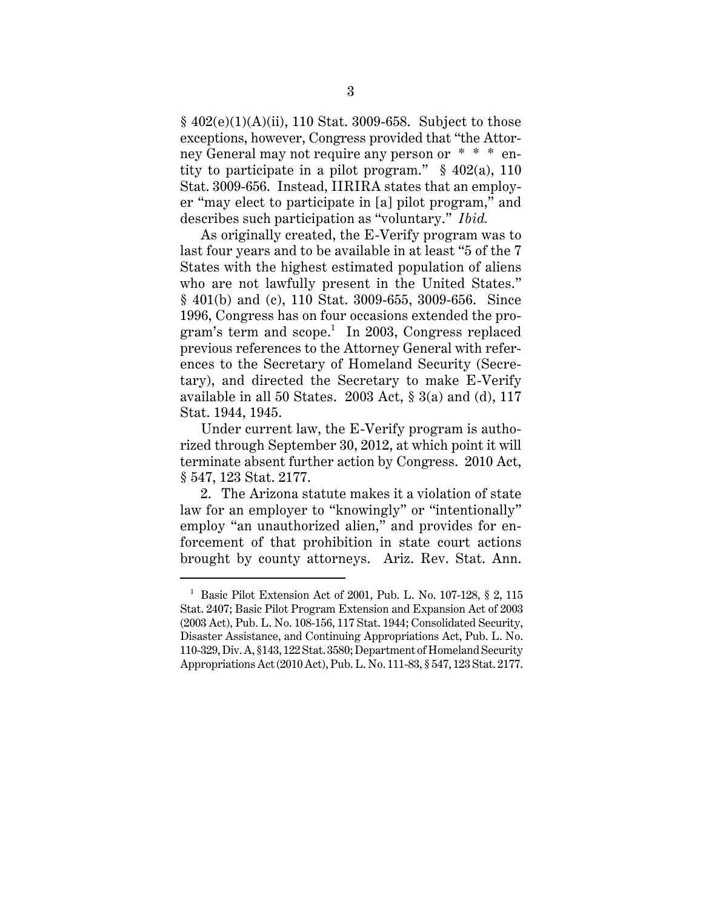<span id="page-10-0"></span>§ 402(e)(1)(A)(ii), 110 Stat. 3009-658. Subject to those exceptions, however, Congress provided that "the Attorney General may not require any person or \* \* \* entity to participate in a pilot program."  $§$  402(a), 110 Stat. 3009-656. Instead, IIRIRA states that an employer "may elect to participate in [a] pilot program," and describes such participation as "voluntary." *Ibid.* 

As originally created, the E-Verify program was to last four years and to be available in at least "5 of the 7 States with the highest estimated population of aliens who are not lawfully present in the United States." § 401(b) and (c), 110 Stat. 3009-655, 3009-656. Since 1996, Congress has on four occasions extended the program's term and scope.<sup>1</sup> In 2003, Congress replaced previous references to the Attorney General with references to the Secretary of Homeland Security (Secretary), and directed the Secretary to make E-Verify available in all 50 States.  $2003$  Act,  $\S$  3(a) and (d), 117 Stat. 1944, 1945.

Under current law, the E-Verify program is authorized through September 30, 2012, at which point it will terminate absent further action by Congress. 2010 Act, § 547, 123 Stat. 2177.

2. The Arizona statute makes it a violation of state law for an employer to "knowingly" or "intentionally" employ "an unauthorized alien," and provides for enforcement of that prohibition in state court actions brought by county attorneys. Ariz. Rev. Stat. Ann.

<sup>&</sup>lt;sup>1</sup> Basic Pilot Extension Act of 2001, Pub. L. No. 107-128, § 2, 115 Stat. 2407; Basic Pilot Program Extension and Expansion Act of 2003 (2003 Act), Pub. L. No. 108-156, 117 Stat. 1944; Consolidated Security, Disaster Assistance, and Continuing Appropriations Act, Pub. L. No. 110-329, Div. A, §143, 122 Stat. 3580; Department of Homeland Security Appropriations Act (2010 Act), Pub. L. No. 111-83, § 547, 123 Stat. 2177.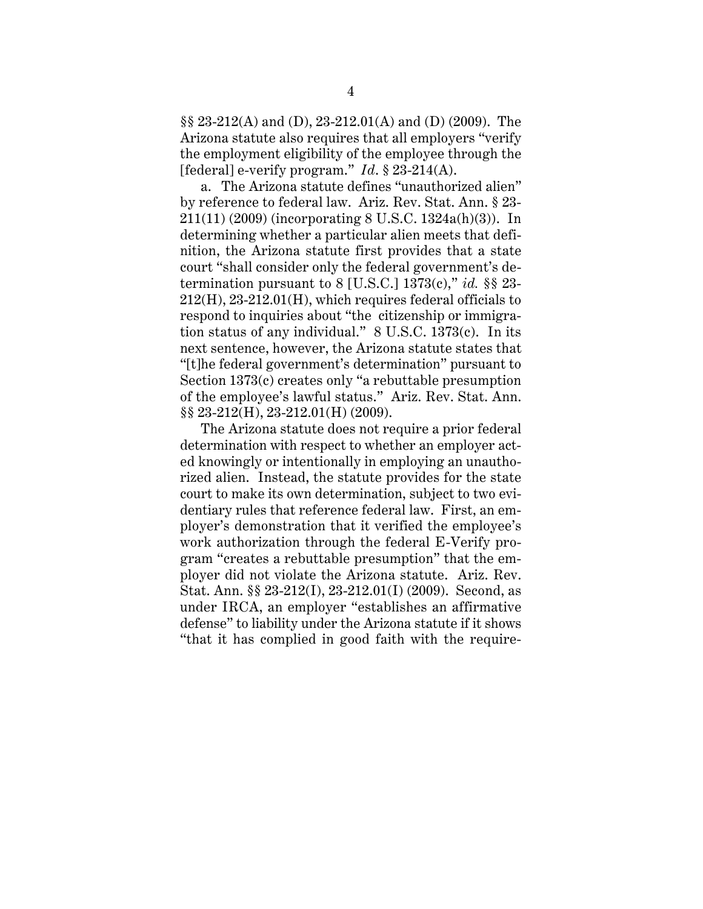<span id="page-11-0"></span>§§ 23-212(A) and (D), 23-212.01(A) and (D) (2009). The Arizona statute also requires that all employers "verify the employment eligibility of the employee through the [federal] e-verify program." *Id*. § 23-214(A).

a. The Arizona statute defines "unauthorized alien" by reference to federal law. Ariz. Rev. Stat. Ann. § 23- 211(11) (2009) (incorporating 8 U.S.C. 1324a(h)(3)). In determining whether a particular alien meets that definition, the Arizona statute first provides that a state court "shall consider only the federal government's determination pursuant to 8 [U.S.C.] 1373(c)," *id.* §§ 23- 212(H), 23-212.01(H), which requires federal officials to respond to inquiries about "the citizenship or immigration status of any individual." 8 U.S.C. 1373(c). In its next sentence, however, the Arizona statute states that "[t]he federal government's determination" pursuant to Section 1373(c) creates only "a rebuttable presumption of the employee's lawful status." Ariz. Rev. Stat. Ann. §§ 23-212(H), 23-212.01(H) (2009).

The Arizona statute does not require a prior federal determination with respect to whether an employer acted knowingly or intentionally in employing an unauthorized alien. Instead, the statute provides for the state court to make its own determination, subject to two evidentiary rules that reference federal law. First, an employer's demonstration that it verified the employee's work authorization through the federal E-Verify program "creates a rebuttable presumption" that the employer did not violate the Arizona statute. Ariz. Rev. Stat. Ann. §§ 23-212(I), 23-212.01(I) (2009). Second, as under IRCA, an employer "establishes an affirmative defense" to liability under the Arizona statute if it shows "that it has complied in good faith with the require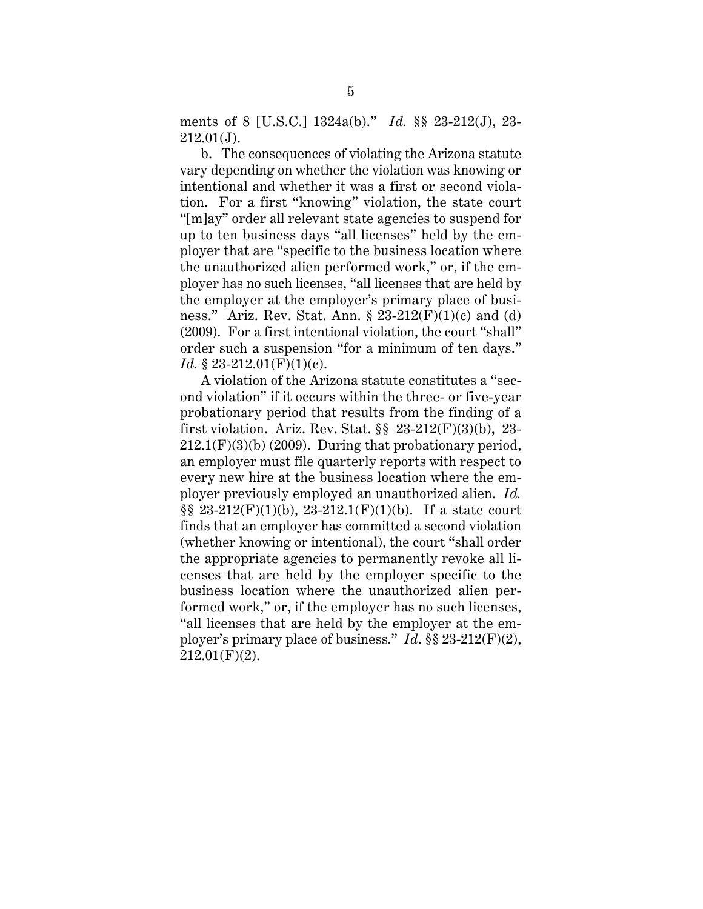<span id="page-12-0"></span>ments of 8 [U.S.C.] 1324a(b)." *Id.* §§ 23-212(J), 23-  $212.01(J)$ .

b. The consequences of violating the Arizona statute vary depending on whether the violation was knowing or intentional and whether it was a first or second violation. For a first "knowing" violation, the state court "[m]ay" order all relevant state agencies to suspend for up to ten business days "all licenses" held by the employer that are "specific to the business location where the unauthorized alien performed work," or, if the employer has no such licenses, "all licenses that are held by the employer at the employer's primary place of business." Ariz. Rev. Stat. Ann.  $\S 23-212(F)(1)(c)$  and (d) (2009). For a first intentional violation, the court "shall" order such a suspension "for a minimum of ten days." *Id.* § 23-212.01(F)(1)(c).

A violation of the Arizona statute constitutes a "second violation" if it occurs within the three- or five-year probationary period that results from the finding of a first violation. Ariz. Rev. Stat. §§ 23-212(F)(3)(b), 23-  $212.1(F)(3)(b)$  (2009). During that probationary period, an employer must file quarterly reports with respect to every new hire at the business location where the employer previously employed an unauthorized alien. *Id.*   $\S\S 23-212(F)(1)(b)$ , 23-212.1(F)(1)(b). If a state court finds that an employer has committed a second violation (whether knowing or intentional), the court "shall order the appropriate agencies to permanently revoke all licenses that are held by the employer specific to the business location where the unauthorized alien performed work," or, if the employer has no such licenses, "all licenses that are held by the employer at the employer's primary place of business." *Id*. §§ 23-212(F)(2),  $212.01(F)(2)$ .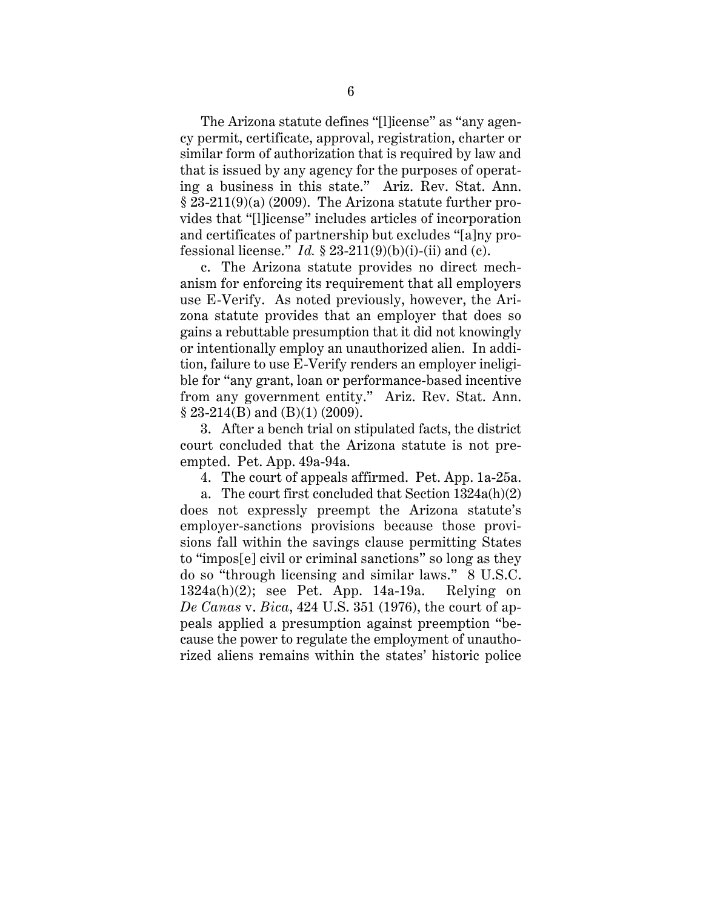<span id="page-13-0"></span>The Arizona statute defines "[l]icense" as "any agency permit, certificate, approval, registration, charter or similar form of authorization that is required by law and that is issued by any agency for the purposes of operating a business in this state." Ariz. Rev. Stat. Ann.  $§ 23-211(9)(a) (2009)$ . The Arizona statute further provides that "[l]icense" includes articles of incorporation and certificates of partnership but excludes "[a]ny professional license."  $Id. \S$  23-211(9)(b)(i)-(ii) and (c).

c. The Arizona statute provides no direct mechanism for enforcing its requirement that all employers use E-Verify. As noted previously, however, the Arizona statute provides that an employer that does so gains a rebuttable presumption that it did not knowingly or intentionally employ an unauthorized alien. In addition, failure to use E-Verify renders an employer ineligible for "any grant, loan or performance-based incentive from any government entity." Ariz. Rev. Stat. Ann.  $§ 23-214(B)$  and  $(B)(1)$  (2009).

3. After a bench trial on stipulated facts, the district court concluded that the Arizona statute is not preempted. Pet. App. 49a-94a.

4. The court of appeals affirmed. Pet. App. 1a-25a.

a. The court first concluded that Section 1324a(h)(2) does not expressly preempt the Arizona statute's employer-sanctions provisions because those provisions fall within the savings clause permitting States to "impos[e] civil or criminal sanctions" so long as they do so "through licensing and similar laws." 8 U.S.C. 1324a(h)(2); see Pet. App. 14a-19a. Relying on *De Canas* v. *Bica*, 424 U.S. 351 (1976), the court of appeals applied a presumption against preemption "because the power to regulate the employment of unauthorized aliens remains within the states' historic police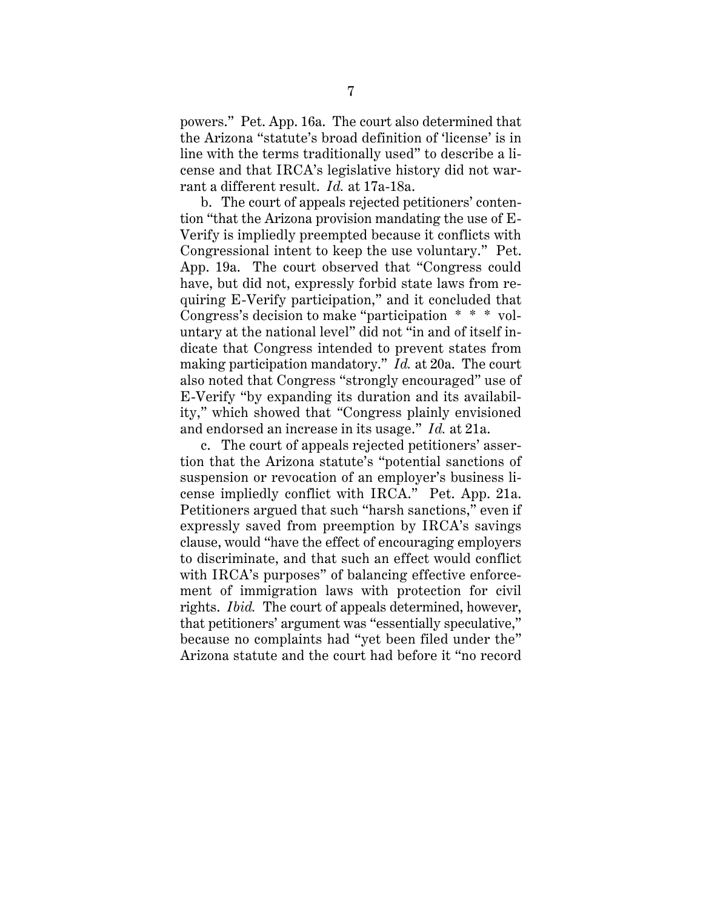powers." Pet. App. 16a. The court also determined that the Arizona "statute's broad definition of 'license' is in line with the terms traditionally used" to describe a license and that IRCA's legislative history did not warrant a different result. *Id.* at 17a-18a.

b. The court of appeals rejected petitioners' contention "that the Arizona provision mandating the use of E-Verify is impliedly preempted because it conflicts with Congressional intent to keep the use voluntary." Pet. App. 19a. The court observed that "Congress could have, but did not, expressly forbid state laws from requiring E-Verify participation," and it concluded that Congress's decision to make "participation \* \* \* voluntary at the national level" did not "in and of itself indicate that Congress intended to prevent states from making participation mandatory." *Id.* at 20a. The court also noted that Congress "strongly encouraged" use of E-Verify "by expanding its duration and its availability," which showed that *"*Congress plainly envisioned and endorsed an increase in its usage." *Id.* at 21a.

c. The court of appeals rejected petitioners' assertion that the Arizona statute's "potential sanctions of suspension or revocation of an employer's business license impliedly conflict with IRCA." Pet. App. 21a. Petitioners argued that such "harsh sanctions," even if expressly saved from preemption by IRCA's savings clause, would "have the effect of encouraging employers to discriminate, and that such an effect would conflict with IRCA's purposes" of balancing effective enforcement of immigration laws with protection for civil rights. *Ibid.* The court of appeals determined, however, that petitioners' argument was "essentially speculative," because no complaints had "yet been filed under the" Arizona statute and the court had before it "no record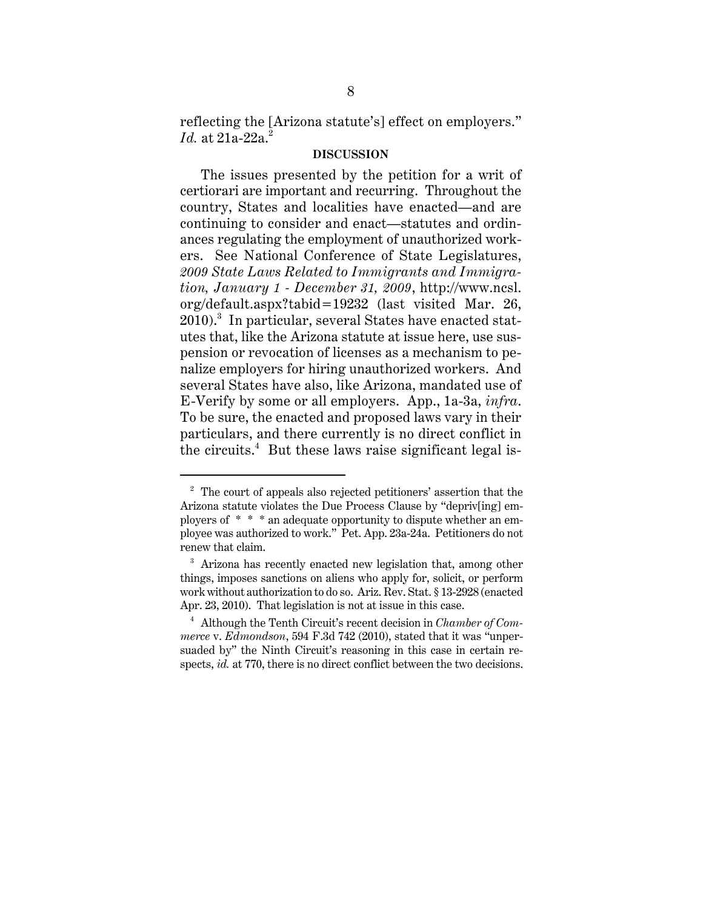<span id="page-15-0"></span>reflecting the [Arizona statute's] effect on employers." *Id.* at 21a-22a<sup>2</sup>

#### **DISCUSSION**

The issues presented by the petition for a writ of certiorari are important and recurring. Throughout the country, States and localities have enacted—and are continuing to consider and enact—statutes and ordinances regulating the employment of unauthorized workers. See National Conference of State Legislatures, *2009 State Laws Related to Immigrants and Immigration, January 1 - December 31, 2009*, http://www.ncsl. org/default.aspx?tabid=19232 (last visited Mar. 26,  $2010$ .<sup>3</sup> In particular, several States have enacted statutes that, like the Arizona statute at issue here, use suspension or revocation of licenses as a mechanism to penalize employers for hiring unauthorized workers. And several States have also, like Arizona, mandated use of E-Verify by some or all employers. App., 1a-3a, *infra*. To be sure, the enacted and proposed laws vary in their particulars, and there currently is no direct conflict in the circuits.<sup>4</sup> But these laws raise significant legal is-

 ployers of \* \* \* an adequate opportunity to dispute whether an em- $2$  The court of appeals also rejected petitioners' assertion that the Arizona statute violates the Due Process Clause by "depriv[ing] employee was authorized to work." Pet. App. 23a-24a. Petitioners do not renew that claim.

<sup>&</sup>lt;sup>3</sup> Arizona has recently enacted new legislation that, among other things, imposes sanctions on aliens who apply for, solicit, or perform work without authorization to do so. Ariz. Rev. Stat. § 13-2928 (enacted Apr. 23, 2010). That legislation is not at issue in this case.

<sup>4</sup> Although the Tenth Circuit's recent decision in *Chamber of Commerce* v. *Edmondson*, 594 F.3d 742 (2010), stated that it was "unpersuaded by" the Ninth Circuit's reasoning in this case in certain respects, *id.* at 770, there is no direct conflict between the two decisions.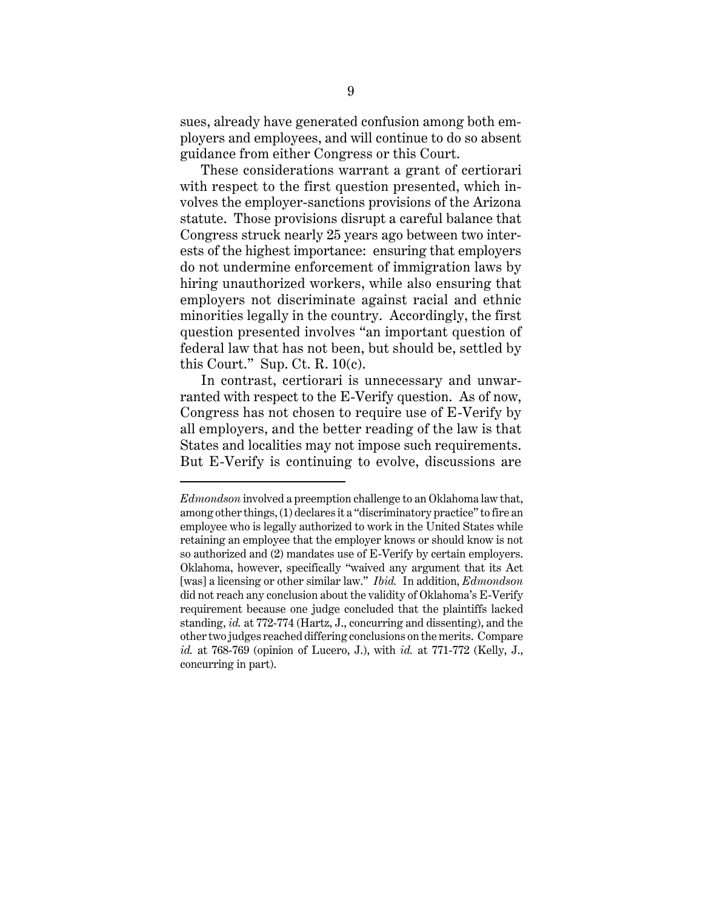<span id="page-16-0"></span>sues, already have generated confusion among both employers and employees, and will continue to do so absent guidance from either Congress or this Court.

These considerations warrant a grant of certiorari with respect to the first question presented, which involves the employer-sanctions provisions of the Arizona statute. Those provisions disrupt a careful balance that Congress struck nearly 25 years ago between two interests of the highest importance: ensuring that employers do not undermine enforcement of immigration laws by hiring unauthorized workers, while also ensuring that employers not discriminate against racial and ethnic minorities legally in the country. Accordingly, the first question presented involves "an important question of federal law that has not been, but should be, settled by this Court." Sup. Ct. R.  $10(c)$ .

In contrast, certiorari is unnecessary and unwarranted with respect to the E-Verify question. As of now, Congress has not chosen to require use of E-Verify by all employers, and the better reading of the law is that States and localities may not impose such requirements. But E-Verify is continuing to evolve, discussions are

*Edmondson* involved a preemption challenge to an Oklahoma law that, among other things, (1) declares it a "discriminatory practice" to fire an employee who is legally authorized to work in the United States while retaining an employee that the employer knows or should know is not so authorized and (2) mandates use of E-Verify by certain employers. Oklahoma, however, specifically "waived any argument that its Act [was] a licensing or other similar law." *Ibid.* In addition, *Edmondson*  did not reach any conclusion about the validity of Oklahoma's E-Verify requirement because one judge concluded that the plaintiffs lacked standing, *id.* at 772-774 (Hartz, J., concurring and dissenting), and the other two judges reached differing conclusions on the merits. Compare *id.* at 768-769 (opinion of Lucero, J.), with *id.* at 771-772 (Kelly, J., concurring in part).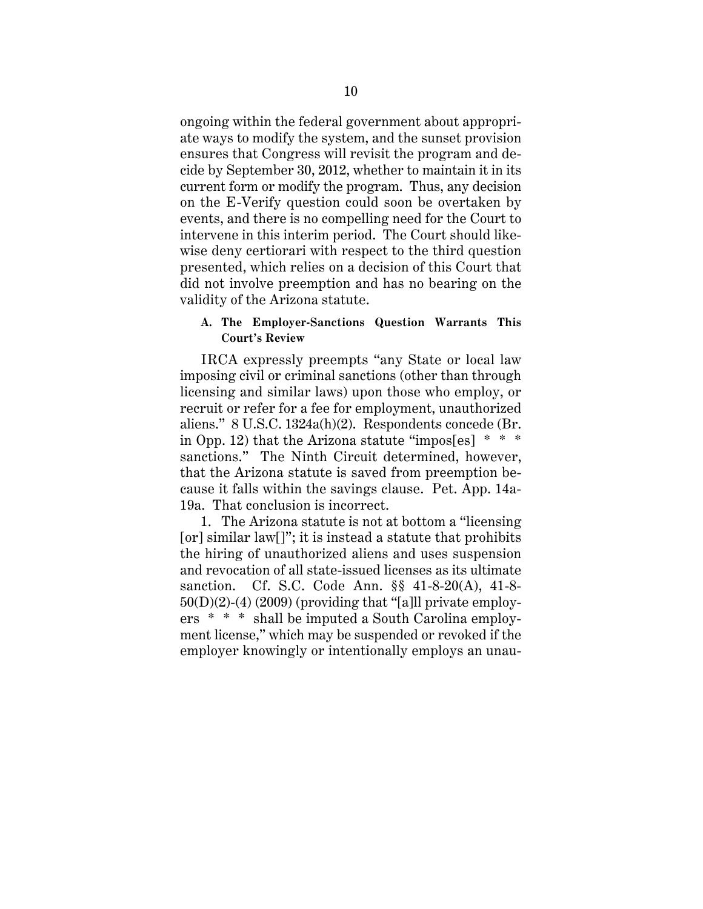<span id="page-17-0"></span>ongoing within the federal government about appropriate ways to modify the system, and the sunset provision ensures that Congress will revisit the program and decide by September 30, 2012, whether to maintain it in its current form or modify the program. Thus, any decision on the E-Verify question could soon be overtaken by events, and there is no compelling need for the Court to intervene in this interim period. The Court should likewise deny certiorari with respect to the third question presented, which relies on a decision of this Court that did not involve preemption and has no bearing on the validity of the Arizona statute.

## **A. The Employer-Sanctions Question Warrants This Court's Review**

IRCA expressly preempts "any State or local law imposing civil or criminal sanctions (other than through licensing and similar laws) upon those who employ, or recruit or refer for a fee for employment, unauthorized aliens." 8 U.S.C. 1324a(h)(2). Respondents concede (Br. in Opp. 12) that the Arizona statute "impos[es] \* \* \* sanctions." The Ninth Circuit determined, however, that the Arizona statute is saved from preemption because it falls within the savings clause. Pet. App. 14a-19a. That conclusion is incorrect.

1. The Arizona statute is not at bottom a "licensing [or] similar law[]"; it is instead a statute that prohibits the hiring of unauthorized aliens and uses suspension and revocation of all state-issued licenses as its ultimate sanction. Cf. S.C. Code Ann. §§ 41-8-20(A), 41-8-  $50(D)(2)-(4)$  (2009) (providing that "[a]ll private employers \* \* \* shall be imputed a South Carolina employment license," which may be suspended or revoked if the employer knowingly or intentionally employs an unau-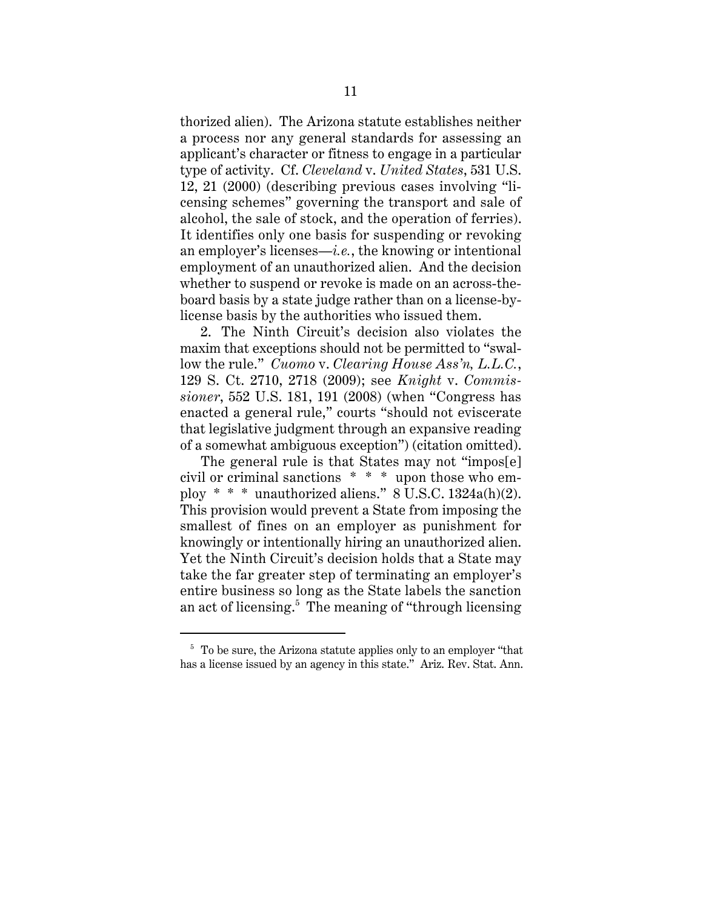<span id="page-18-0"></span>thorized alien). The Arizona statute establishes neither a process nor any general standards for assessing an applicant's character or fitness to engage in a particular type of activity. Cf. *Cleveland* v. *United States*, 531 U.S. 12, 21 (2000) (describing previous cases involving "licensing schemes" governing the transport and sale of alcohol, the sale of stock, and the operation of ferries). It identifies only one basis for suspending or revoking an employer's licenses—*i.e.*, the knowing or intentional employment of an unauthorized alien. And the decision whether to suspend or revoke is made on an across-theboard basis by a state judge rather than on a license-bylicense basis by the authorities who issued them.

2. The Ninth Circuit's decision also violates the maxim that exceptions should not be permitted to "swallow the rule." *Cuomo* v. *Clearing House Ass'n, L.L.C.*, 129 S. Ct. 2710, 2718 (2009); see *Knight* v. *Commissioner*, 552 U.S. 181, 191 (2008) (when "Congress has enacted a general rule," courts "should not eviscerate that legislative judgment through an expansive reading of a somewhat ambiguous exception") (citation omitted).

The general rule is that States may not "impostel" civil or criminal sanctions \* \* \* upon those who employ  $* * *$  unauthorized aliens." 8 U.S.C. 1324a(h)(2). This provision would prevent a State from imposing the smallest of fines on an employer as punishment for knowingly or intentionally hiring an unauthorized alien. Yet the Ninth Circuit's decision holds that a State may take the far greater step of terminating an employer's entire business so long as the State labels the sanction an act of licensing.5 The meaning of "through licensing

 $5$  To be sure, the Arizona statute applies only to an employer "that has a license issued by an agency in this state." Ariz. Rev. Stat. Ann.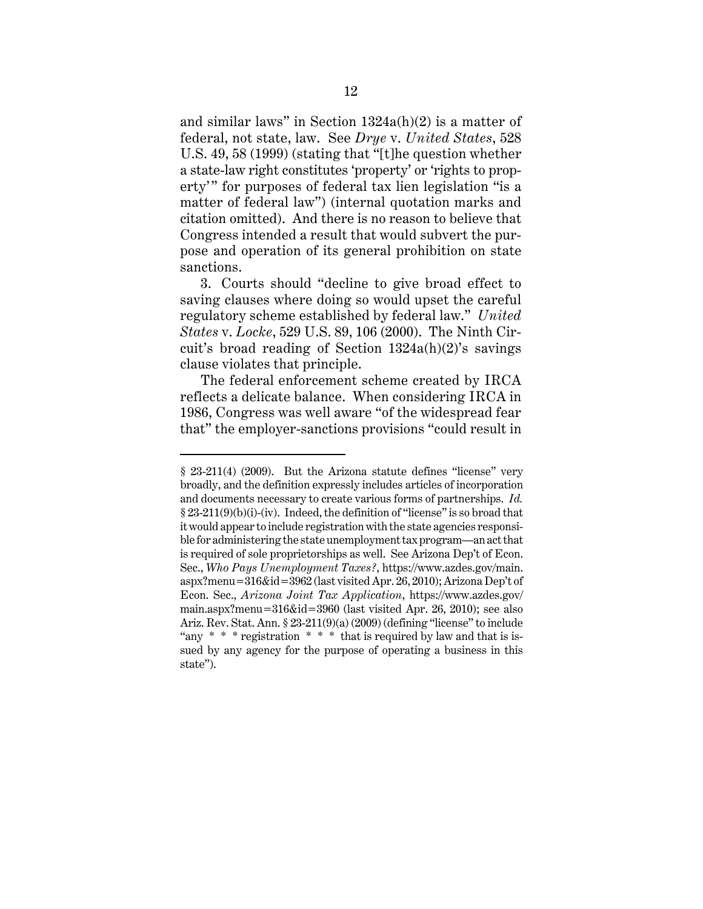<span id="page-19-0"></span>and similar laws" in Section 1324a(h)(2) is a matter of federal, not state, law. See *Drye* v. *United States*, 528 U.S. 49, 58 (1999) (stating that "[t]he question whether a state-law right constitutes 'property' or 'rights to property'" for purposes of federal tax lien legislation "is a matter of federal law") (internal quotation marks and citation omitted). And there is no reason to believe that Congress intended a result that would subvert the purpose and operation of its general prohibition on state sanctions.

3. Courts should "decline to give broad effect to saving clauses where doing so would upset the careful regulatory scheme established by federal law." *United States* v. *Locke*, 529 U.S. 89, 106 (2000). The Ninth Circuit's broad reading of Section 1324a(h)(2)'s savings clause violates that principle.

The federal enforcement scheme created by IRCA reflects a delicate balance. When considering IRCA in 1986, Congress was well aware "of the widespread fear that" the employer-sanctions provisions "could result in

<sup>§ 23-211(4) (2009).</sup> But the Arizona statute defines "license" very broadly, and the definition expressly includes articles of incorporation and documents necessary to create various forms of partnerships. *Id.*  § 23-211(9)(b)(i)-(iv). Indeed, the definition of "license" is so broad that it would appear to include registration with the state agencies responsible for administering the state unemployment tax program—an act that is required of sole proprietorships as well. See Arizona Dep't of Econ. Sec., *Who Pays Unemployment Taxes?*, https://www.azdes.gov/main. aspx?menu=316&id=3962 (last visited Apr. 26, 2010); Arizona Dep't of Econ. Sec., *Arizona Joint Tax Application*, https://www.azdes.gov/ main.aspx?menu=316&id=3960 (last visited Apr. 26, 2010); see also Ariz. Rev. Stat. Ann. § 23-211(9)(a) (2009) (defining "license" to include "any  $* * *$  registration  $* * *$  that is required by law and that is issued by any agency for the purpose of operating a business in this state").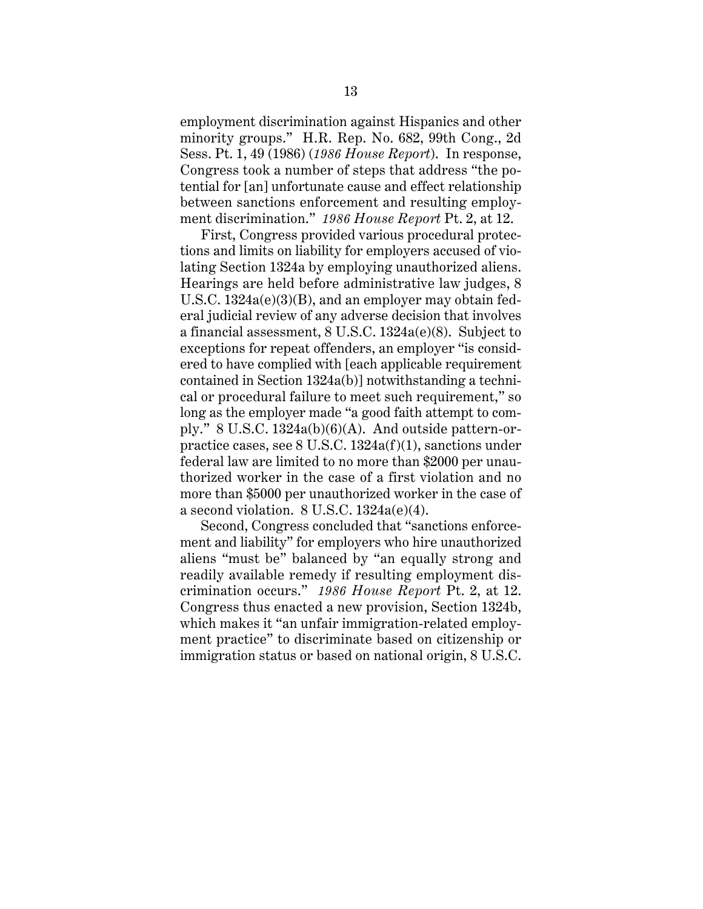<span id="page-20-0"></span>employment discrimination against Hispanics and other minority groups." H.R. Rep. No. 682, 99th Cong., 2d Sess. Pt. 1, 49 (1986) (*1986 House Report*). In response, Congress took a number of steps that address "the potential for [an] unfortunate cause and effect relationship between sanctions enforcement and resulting employment discrimination." *1986 House Report* Pt. 2, at 12.

First, Congress provided various procedural protections and limits on liability for employers accused of violating Section 1324a by employing unauthorized aliens. Hearings are held before administrative law judges, 8 U.S.C. 1324a(e)(3)(B), and an employer may obtain federal judicial review of any adverse decision that involves a financial assessment, 8 U.S.C. 1324a(e)(8). Subject to exceptions for repeat offenders, an employer "is considered to have complied with [each applicable requirement contained in Section 1324a(b)] notwithstanding a technical or procedural failure to meet such requirement," so long as the employer made "a good faith attempt to comply."  $8 \text{ U.S.C. } 1324a(b)(6)(A)$ . And outside pattern-orpractice cases, see 8 U.S.C. 1324a(f)(1), sanctions under federal law are limited to no more than \$2000 per unauthorized worker in the case of a first violation and no more than \$5000 per unauthorized worker in the case of a second violation. 8 U.S.C. 1324a(e)(4).

Second, Congress concluded that "sanctions enforcement and liability" for employers who hire unauthorized aliens "must be" balanced by "an equally strong and readily available remedy if resulting employment discrimination occurs." *1986 House Report* Pt. 2, at 12. Congress thus enacted a new provision, Section 1324b, which makes it "an unfair immigration-related employment practice" to discriminate based on citizenship or immigration status or based on national origin, 8 U.S.C.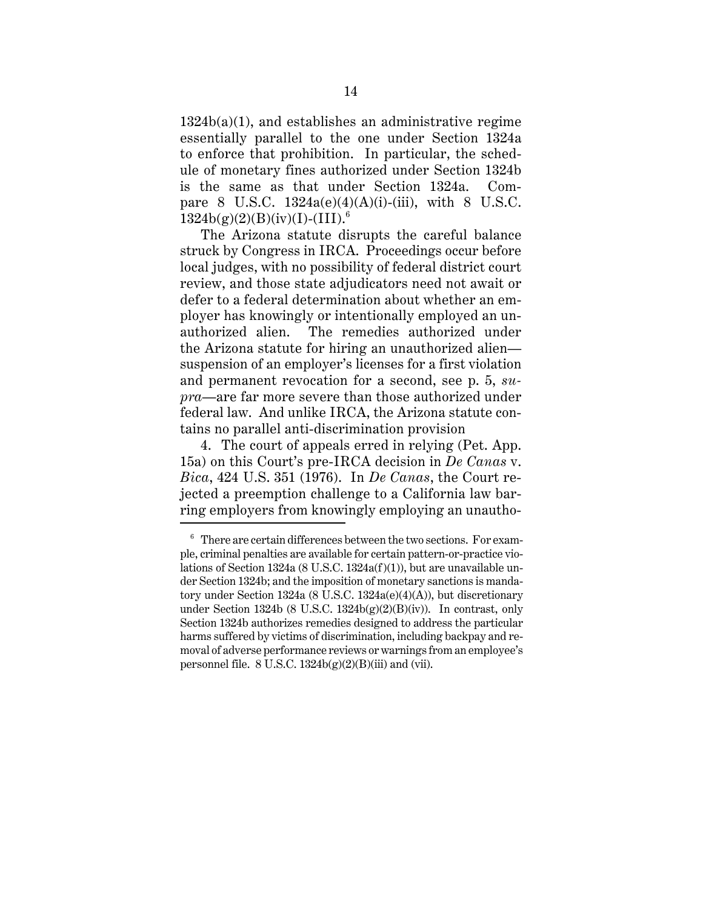<span id="page-21-0"></span>1324b(a)(1), and establishes an administrative regime essentially parallel to the one under Section 1324a to enforce that prohibition. In particular, the schedule of monetary fines authorized under Section 1324b is the same as that under Section 1324a. Compare 8 U.S.C.  $1324a(e)(4)(A)(i)$ -(iii), with 8 U.S.C.  $1324b(g)(2)(B)(iv)(I)-(III).<sup>6</sup>$ 

The Arizona statute disrupts the careful balance struck by Congress in IRCA. Proceedings occur before local judges, with no possibility of federal district court review, and those state adjudicators need not await or defer to a federal determination about whether an employer has knowingly or intentionally employed an unauthorized alien. The remedies authorized under the Arizona statute for hiring an unauthorized alien suspension of an employer's licenses for a first violation and permanent revocation for a second, see p. 5, *supra*—are far more severe than those authorized under federal law. And unlike IRCA, the Arizona statute contains no parallel anti-discrimination provision

4. The court of appeals erred in relying (Pet. App. 15a) on this Court's pre-IRCA decision in *De Canas* v. *Bica*, 424 U.S. 351 (1976). In *De Canas*, the Court rejected a preemption challenge to a California law barring employers from knowingly employing an unautho-

 $6$  There are certain differences between the two sections. For example, criminal penalties are available for certain pattern-or-practice violations of Section 1324a (8 U.S.C. 1324a(f)(1)), but are unavailable under Section 1324b; and the imposition of monetary sanctions is mandatory under Section 1324a (8 U.S.C. 1324a(e)(4)(A)), but discretionary under Section 1324b (8 U.S.C. 1324b(g)(2)(B)(iv)). In contrast, only Section 1324b authorizes remedies designed to address the particular harms suffered by victims of discrimination, including backpay and removal of adverse performance reviews or warnings from an employee's personnel file.  $8 \text{ U.S.C. } 1324 \text{b(g)}(2)(\text{B})(iii)$  and (vii).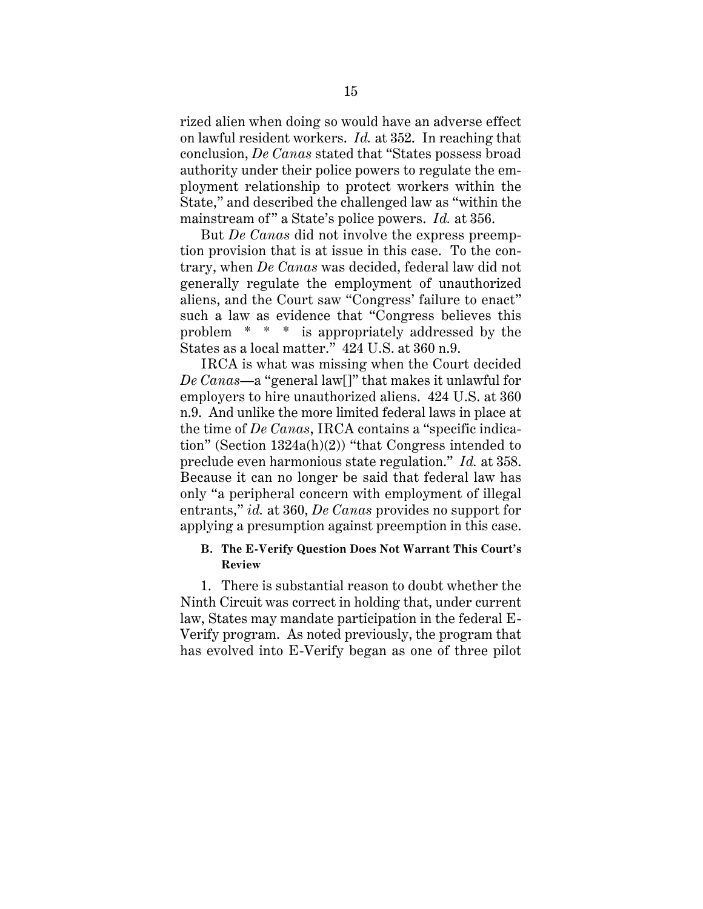<span id="page-22-0"></span>rized alien when doing so would have an adverse effect on lawful resident workers. *Id.* at 352. In reaching that conclusion, *De Canas* stated that "States possess broad authority under their police powers to regulate the employment relationship to protect workers within the State," and described the challenged law as "within the mainstream of" a State's police powers. *Id.* at 356.

But *De Canas* did not involve the express preemption provision that is at issue in this case. To the contrary, when *De Canas* was decided, federal law did not generally regulate the employment of unauthorized aliens, and the Court saw "Congress' failure to enact" such a law as evidence that "Congress believes this problem \* \* \* is appropriately addressed by the States as a local matter." 424 U.S. at 360 n.9.

 preclude even harmonious state regulation." *Id.* at 358. IRCA is what was missing when the Court decided *De Canas*—a "general law[]" that makes it unlawful for employers to hire unauthorized aliens. 424 U.S. at 360 n.9. And unlike the more limited federal laws in place at the time of *De Canas*, IRCA contains a "specific indication" (Section 1324a(h)(2)) "that Congress intended to Because it can no longer be said that federal law has only "a peripheral concern with employment of illegal entrants," *id.* at 360, *De Canas* provides no support for applying a presumption against preemption in this case.

## **B. The E-Verify Question Does Not Warrant This Court's Review**

1. There is substantial reason to doubt whether the Ninth Circuit was correct in holding that, under current law, States may mandate participation in the federal E-Verify program. As noted previously, the program that has evolved into E-Verify began as one of three pilot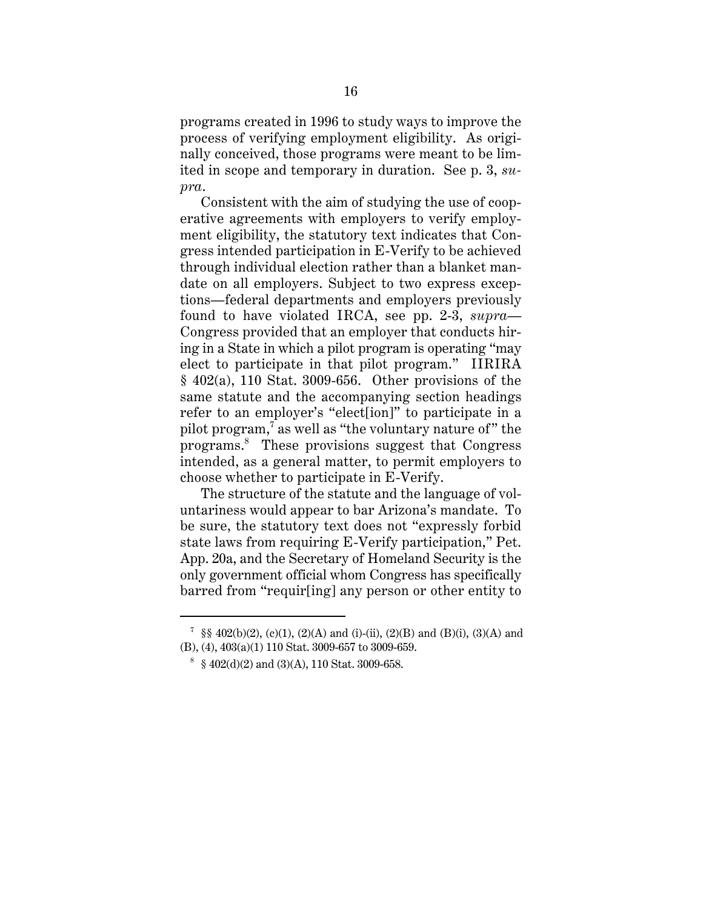<span id="page-23-0"></span>programs created in 1996 to study ways to improve the process of verifying employment eligibility. As originally conceived, those programs were meant to be limited in scope and temporary in duration. See p. 3, *supra*.

Consistent with the aim of studying the use of cooperative agreements with employers to verify employment eligibility, the statutory text indicates that Congress intended participation in E-Verify to be achieved through individual election rather than a blanket mandate on all employers. Subject to two express exceptions—federal departments and employers previously found to have violated IRCA, see pp. 2-3, *supra*— Congress provided that an employer that conducts hiring in a State in which a pilot program is operating "may elect to participate in that pilot program." IIRIRA § 402(a), 110 Stat. 3009-656. Other provisions of the same statute and the accompanying section headings refer to an employer's "elect[ion]" to participate in a pilot program,<sup>7</sup> as well as "the voluntary nature of" the programs.8 These provisions suggest that Congress intended, as a general matter, to permit employers to choose whether to participate in E-Verify.

The structure of the statute and the language of voluntariness would appear to bar Arizona's mandate. To be sure, the statutory text does not "expressly forbid state laws from requiring E-Verify participation," Pet. App. 20a, and the Secretary of Homeland Security is the only government official whom Congress has specifically barred from "requir[ing] any person or other entity to

<sup>&</sup>lt;sup>7</sup> §§ 402(b)(2), (c)(1), (2)(A) and (i)-(ii), (2)(B) and (B)(i), (3)(A) and (B), (4), 403(a)(1) 110 Stat. 3009-657 to 3009-659.

 $\frac{8}{9}$  § 402(d)(2) and (3)(A), 110 Stat. 3009-658.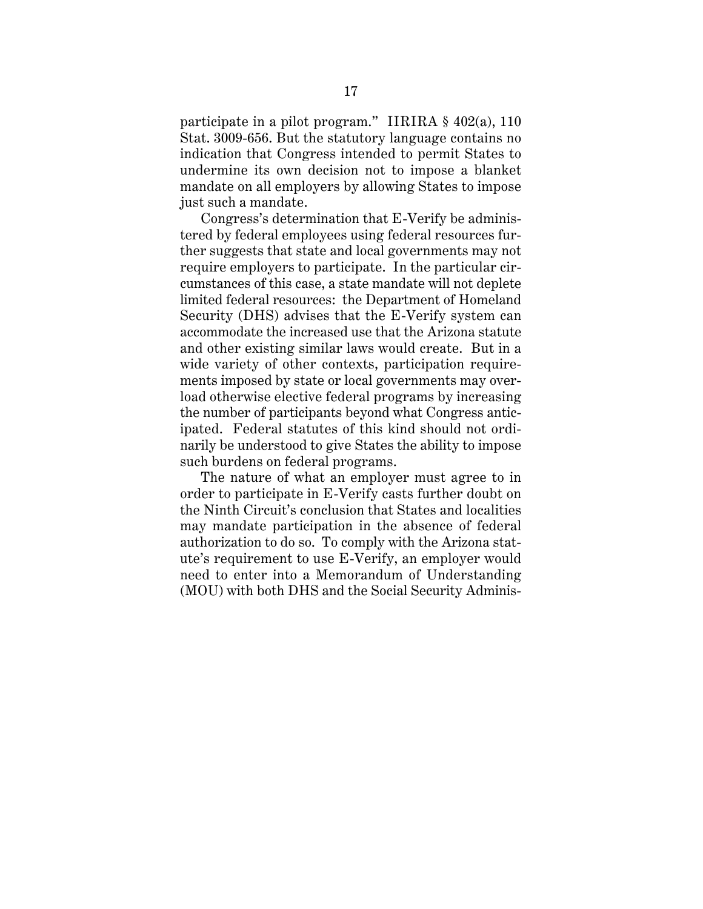<span id="page-24-0"></span>participate in a pilot program." IIRIRA § 402(a), 110 Stat. 3009-656. But the statutory language contains no indication that Congress intended to permit States to undermine its own decision not to impose a blanket mandate on all employers by allowing States to impose just such a mandate.

Congress's determination that E-Verify be administered by federal employees using federal resources further suggests that state and local governments may not require employers to participate. In the particular circumstances of this case, a state mandate will not deplete limited federal resources: the Department of Homeland Security (DHS) advises that the E-Verify system can accommodate the increased use that the Arizona statute and other existing similar laws would create. But in a wide variety of other contexts, participation requirements imposed by state or local governments may overload otherwise elective federal programs by increasing the number of participants beyond what Congress anticipated. Federal statutes of this kind should not ordinarily be understood to give States the ability to impose such burdens on federal programs.

The nature of what an employer must agree to in order to participate in E-Verify casts further doubt on the Ninth Circuit's conclusion that States and localities may mandate participation in the absence of federal authorization to do so. To comply with the Arizona statute's requirement to use E-Verify, an employer would need to enter into a Memorandum of Understanding (MOU) with both DHS and the Social Security Adminis-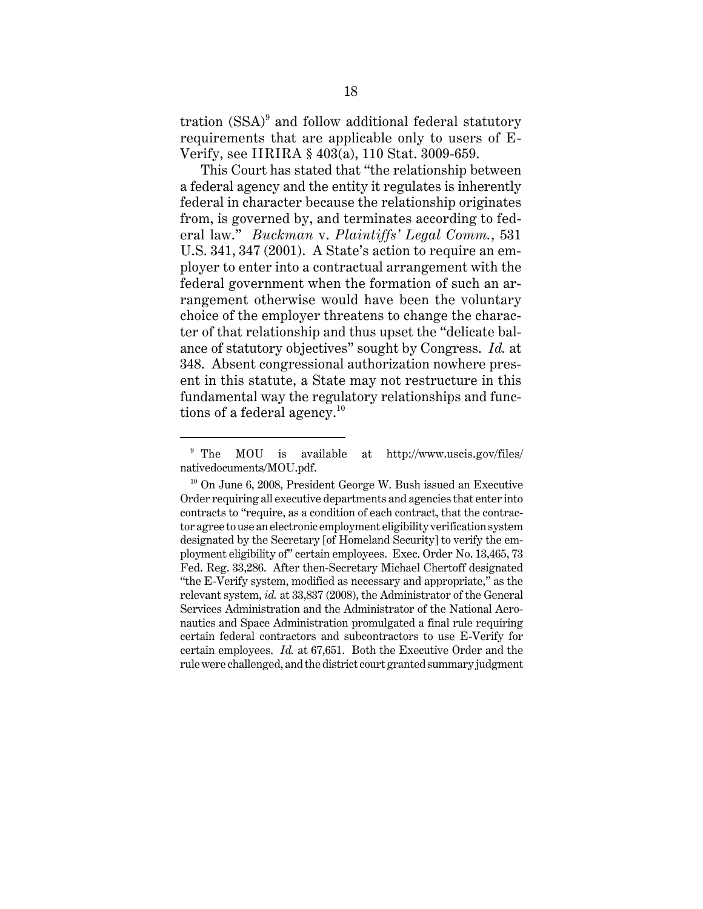<span id="page-25-0"></span>tration  $(SSA)^9$  and follow additional federal statutory requirements that are applicable only to users of E-Verify, see IIRIRA § 403(a), 110 Stat. 3009-659.

This Court has stated that "the relationship between a federal agency and the entity it regulates is inherently federal in character because the relationship originates from, is governed by, and terminates according to federal law." *Buckman* v. *Plaintiffs' Legal Comm.*, 531 U.S. 341, 347 (2001). A State's action to require an employer to enter into a contractual arrangement with the federal government when the formation of such an arrangement otherwise would have been the voluntary choice of the employer threatens to change the character of that relationship and thus upset the "delicate balance of statutory objectives" sought by Congress. *Id.* at 348. Absent congressional authorization nowhere present in this statute, a State may not restructure in this fundamental way the regulatory relationships and functions of a federal agency.<sup>10</sup>

<sup>&</sup>lt;sup>9</sup> The MOU is available at http://www.uscis.gov/files/ nativedocuments/MOU.pdf.

 $10$  On June 6, 2008, President George W. Bush issued an Executive Order requiring all executive departments and agencies that enter into contracts to "require, as a condition of each contract, that the contractor agree to use an electronic employment eligibility verification system designated by the Secretary [of Homeland Security] to verify the employment eligibility of" certain employees. Exec. Order No. 13,465, 73 Fed. Reg. 33,286. After then-Secretary Michael Chertoff designated "the E-Verify system, modified as necessary and appropriate," as the relevant system, *id.* at 33,837 (2008), the Administrator of the General Services Administration and the Administrator of the National Aeronautics and Space Administration promulgated a final rule requiring certain federal contractors and subcontractors to use E-Verify for certain employees. *Id.* at 67,651. Both the Executive Order and the rule were challenged, and the district court granted summary judgment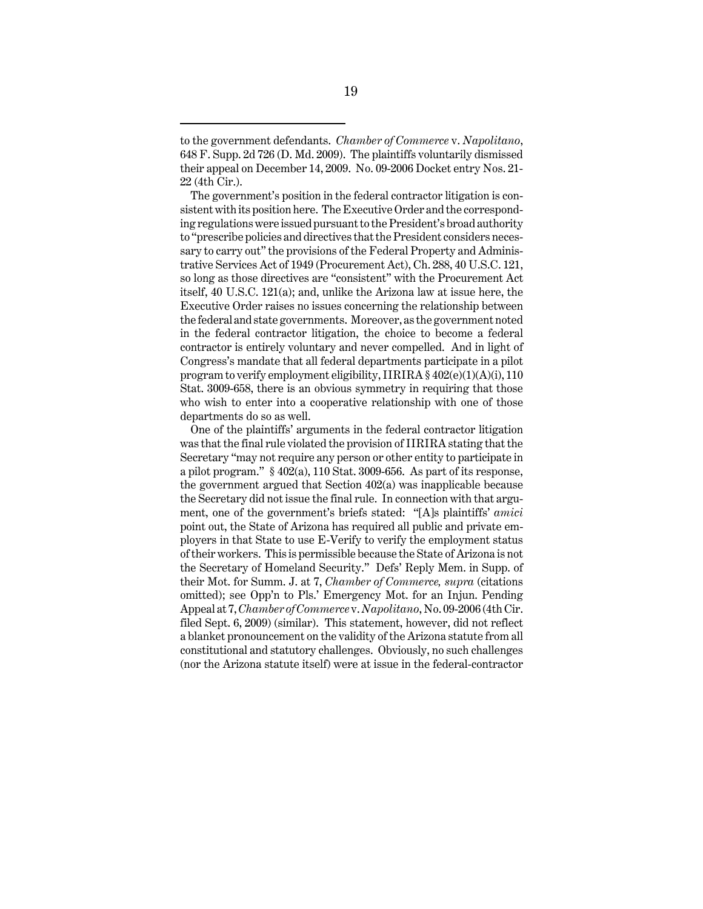itself, 40 U.S.C. 121(a); and, unlike the Arizona law at issue here, the in the federal contractor litigation, the choice to become a federal The government's position in the federal contractor litigation is consistent with its position here. The Executive Order and the corresponding regulations were issued pursuant to the President's broad authority to "prescribe policies and directives that the President considers necessary to carry out" the provisions of the Federal Property and Administrative Services Act of 1949 (Procurement Act), Ch. 288, 40 U.S.C. 121, so long as those directives are "consistent" with the Procurement Act Executive Order raises no issues concerning the relationship between the federal and state governments. Moreover, as the government noted contractor is entirely voluntary and never compelled. And in light of Congress's mandate that all federal departments participate in a pilot program to verify employment eligibility,  $IIRIRA \$  $402(e)(1)(A)(i)$ , 110 Stat. 3009-658, there is an obvious symmetry in requiring that those who wish to enter into a cooperative relationship with one of those departments do so as well.

 omitted); see Opp'n to Pls.' Emergency Mot. for an Injun. Pending One of the plaintiffs' arguments in the federal contractor litigation was that the final rule violated the provision of IIRIRA stating that the Secretary "may not require any person or other entity to participate in a pilot program." § 402(a), 110 Stat. 3009-656. As part of its response, the government argued that Section 402(a) was inapplicable because the Secretary did not issue the final rule. In connection with that argument, one of the government's briefs stated: "[A]s plaintiffs' *amici*  point out, the State of Arizona has required all public and private employers in that State to use E-Verify to verify the employment status of their workers. This is permissible because the State of Arizona is not the Secretary of Homeland Security." Defs' Reply Mem. in Supp. of their Mot. for Summ. J. at 7, *Chamber of Commerce, supra* (citations Appeal at 7, *Chamber of Commerce* v. *Napolitano*, No. 09-2006 (4th Cir. filed Sept. 6, 2009) (similar). This statement, however, did not reflect a blanket pronouncement on the validity of the Arizona statute from all constitutional and statutory challenges. Obviously, no such challenges (nor the Arizona statute itself) were at issue in the federal-contractor

<span id="page-26-0"></span>to the government defendants. *Chamber of Commerce* v. *Napolitano*, 648 F. Supp. 2d 726 (D. Md. 2009). The plaintiffs voluntarily dismissed their appeal on December 14, 2009. No. 09-2006 Docket entry Nos. 21- 22 (4th Cir.).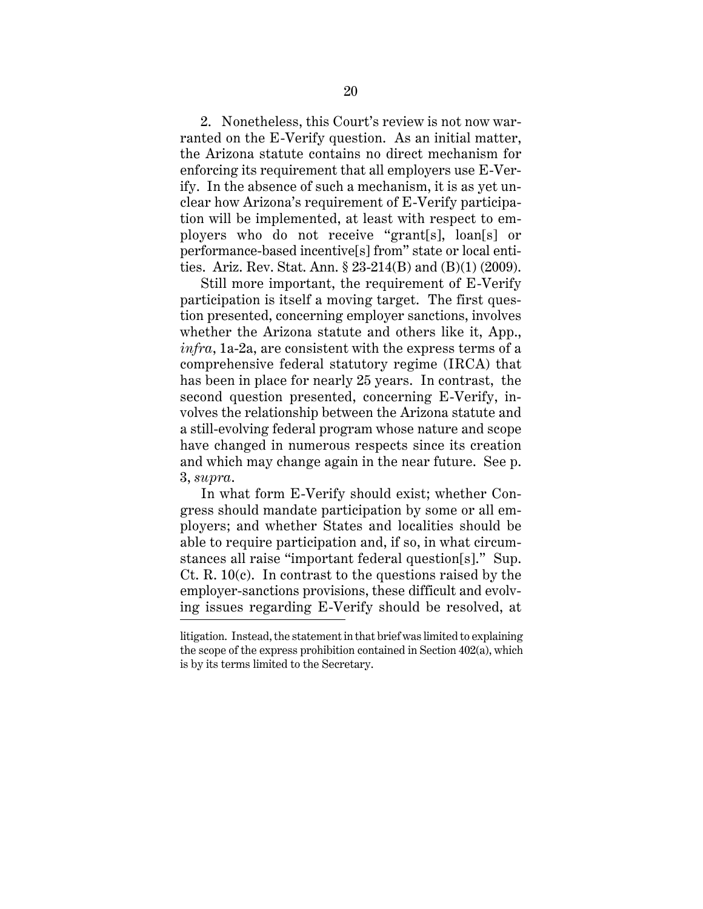<span id="page-27-0"></span>2. Nonetheless, this Court's review is not now warranted on the E-Verify question. As an initial matter, the Arizona statute contains no direct mechanism for enforcing its requirement that all employers use E-Verify. In the absence of such a mechanism, it is as yet unclear how Arizona's requirement of E-Verify participation will be implemented, at least with respect to employers who do not receive "grant[s], loan[s] or performance-based incentive[s] from" state or local entities. Ariz. Rev. Stat. Ann. § 23-214(B) and (B)(1) (2009).

Still more important, the requirement of E-Verify participation is itself a moving target. The first question presented, concerning employer sanctions, involves whether the Arizona statute and others like it, App., *infra*, 1a-2a, are consistent with the express terms of a comprehensive federal statutory regime (IRCA) that has been in place for nearly 25 years. In contrast, the second question presented, concerning E-Verify, involves the relationship between the Arizona statute and a still-evolving federal program whose nature and scope have changed in numerous respects since its creation and which may change again in the near future. See p. 3, *supra*.

In what form E-Verify should exist; whether Congress should mandate participation by some or all employers; and whether States and localities should be able to require participation and, if so, in what circumstances all raise "important federal question[s]." Sup. Ct. R. 10(c). In contrast to the questions raised by the employer-sanctions provisions, these difficult and evolving issues regarding E-Verify should be resolved, at

litigation. Instead, the statement in that brief was limited to explaining the scope of the express prohibition contained in Section 402(a), which is by its terms limited to the Secretary.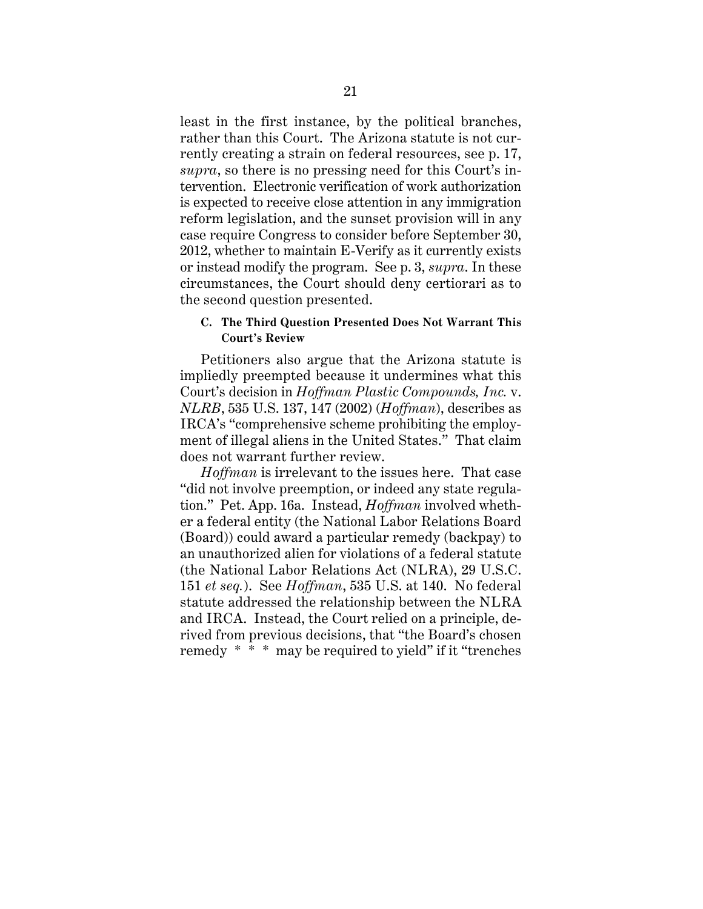<span id="page-28-0"></span>least in the first instance, by the political branches, rather than this Court. The Arizona statute is not currently creating a strain on federal resources, see p. 17, *supra*, so there is no pressing need for this Court's intervention. Electronic verification of work authorization is expected to receive close attention in any immigration reform legislation, and the sunset provision will in any case require Congress to consider before September 30, 2012, whether to maintain E-Verify as it currently exists or instead modify the program. See p. 3, *supra*. In these circumstances, the Court should deny certiorari as to the second question presented.

## **C. The Third Question Presented Does Not Warrant This Court's Review**

Petitioners also argue that the Arizona statute is impliedly preempted because it undermines what this Court's decision in *Hoffman Plastic Compounds, Inc.* v. *NLRB*, 535 U.S. 137, 147 (2002) (*Hoffman*), describes as IRCA's "comprehensive scheme prohibiting the employment of illegal aliens in the United States." That claim does not warrant further review.

*Hoffman* is irrelevant to the issues here. That case "did not involve preemption, or indeed any state regulation." Pet. App. 16a. Instead, *Hoffman* involved whether a federal entity (the National Labor Relations Board (Board)) could award a particular remedy (backpay) to an unauthorized alien for violations of a federal statute (the National Labor Relations Act (NLRA), 29 U.S.C. 151 *et seq.*). See *Hoffman*, 535 U.S. at 140. No federal statute addressed the relationship between the NLRA and IRCA. Instead, the Court relied on a principle, derived from previous decisions, that "the Board's chosen remedy \* \* \* may be required to yield" if it "trenches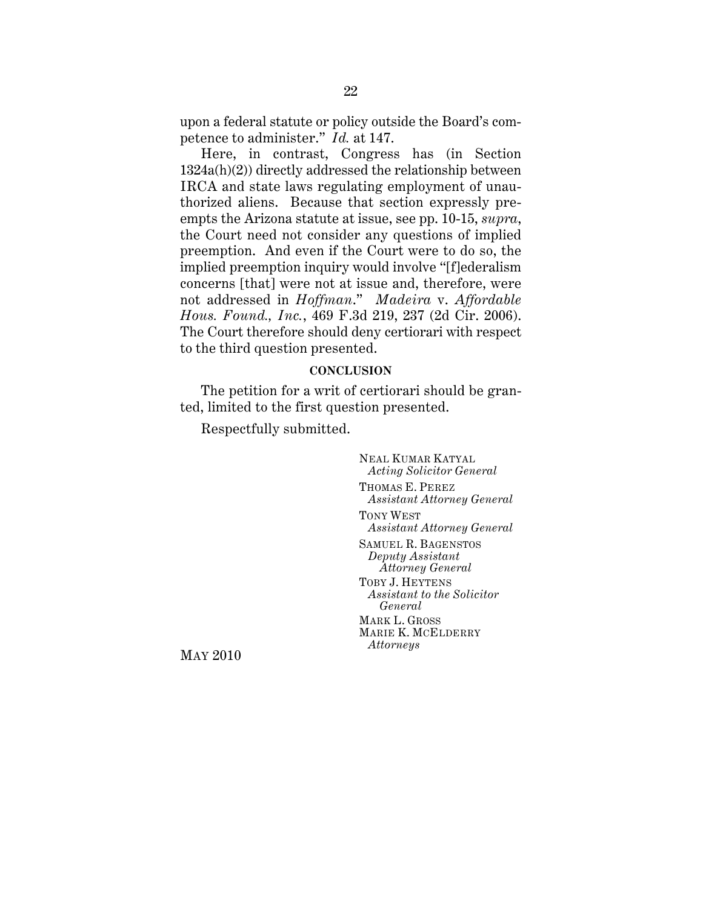<span id="page-29-0"></span>upon a federal statute or policy outside the Board's competence to administer." *Id.* at 147.

Here, in contrast, Congress has (in Section 1324a(h)(2)) directly addressed the relationship between IRCA and state laws regulating employment of unauthorized aliens. Because that section expressly preempts the Arizona statute at issue, see pp. 10-15, *supra*, the Court need not consider any questions of implied preemption. And even if the Court were to do so, the implied preemption inquiry would involve "[f]ederalism concerns [that] were not at issue and, therefore, were not addressed in *Hoffman*." *Madeira* v. *Affordable Hous. Found., Inc.*, 469 F.3d 219, 237 (2d Cir. 2006). The Court therefore should deny certiorari with respect to the third question presented.

#### **CONCLUSION**

The petition for a writ of certiorari should be granted, limited to the first question presented.

Respectfully submitted.

NEAL KUMAR KATYAL *Acting Solicitor General*  THOMAS E. PEREZ *Assistant Attorney General*  TONY WEST *Assistant Attorney General*  SAMUEL R. BAGENSTOS *Deputy Assistant Attorney General*  TOBY J. HEYTENS *Assistant to the Solicitor General*  MARK L. GROSS MARIE K. MCELDERRY *Attorneys* MAY 2010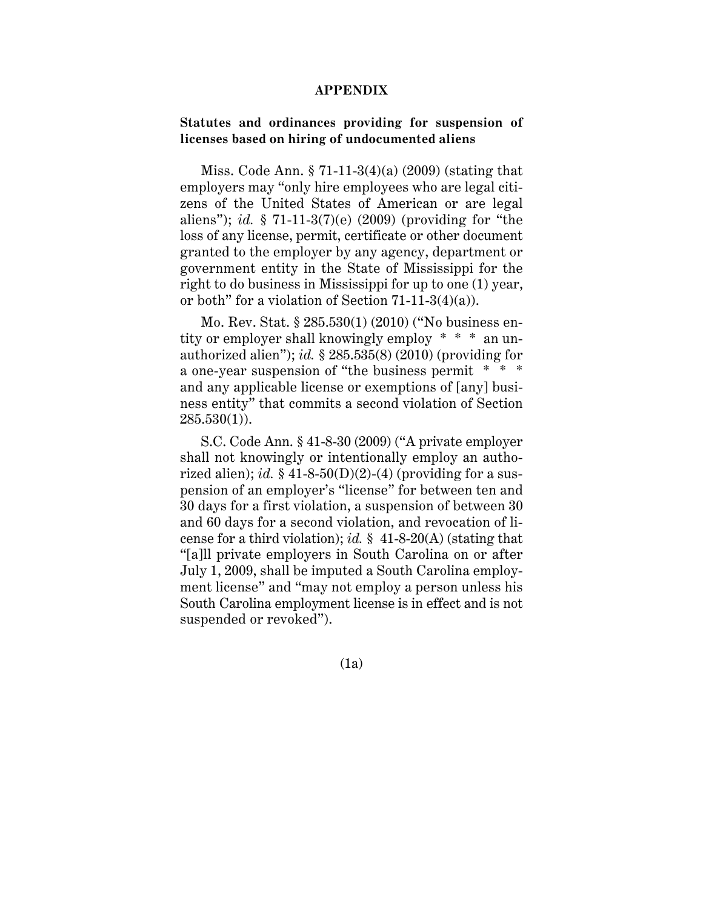#### **APPENDIX**

### **Statutes and ordinances providing for suspension of licenses based on hiring of undocumented aliens**

Miss. Code Ann. § 71-11-3(4)(a) (2009) (stating that employers may "only hire employees who are legal citizens of the United States of American or are legal aliens"); *id.* § 71-11-3(7)(e) (2009) (providing for "the loss of any license, permit, certificate or other document granted to the employer by any agency, department or government entity in the State of Mississippi for the right to do business in Mississippi for up to one (1) year, or both" for a violation of Section 71-11-3(4)(a)).

Mo. Rev. Stat. § 285.530(1) (2010) ("No business entity or employer shall knowingly employ \* \* \* an unauthorized alien"); *id.* § 285.535(8) (2010) (providing for a one-year suspension of "the business permit \* \* \* and any applicable license or exemptions of [any] business entity" that commits a second violation of Section  $285.530(1)$ .

S.C. Code Ann. § 41-8-30 (2009) ("A private employer shall not knowingly or intentionally employ an authorized alien); *id.*  $\S$  41-8-50(D)(2)-(4) (providing for a suspension of an employer's "license" for between ten and 30 days for a first violation, a suspension of between 30 and 60 days for a second violation, and revocation of license for a third violation); *id.* § 41-8-20(A) (stating that "[a]ll private employers in South Carolina on or after July 1, 2009, shall be imputed a South Carolina employment license" and "may not employ a person unless his South Carolina employment license is in effect and is not suspended or revoked").

(1a)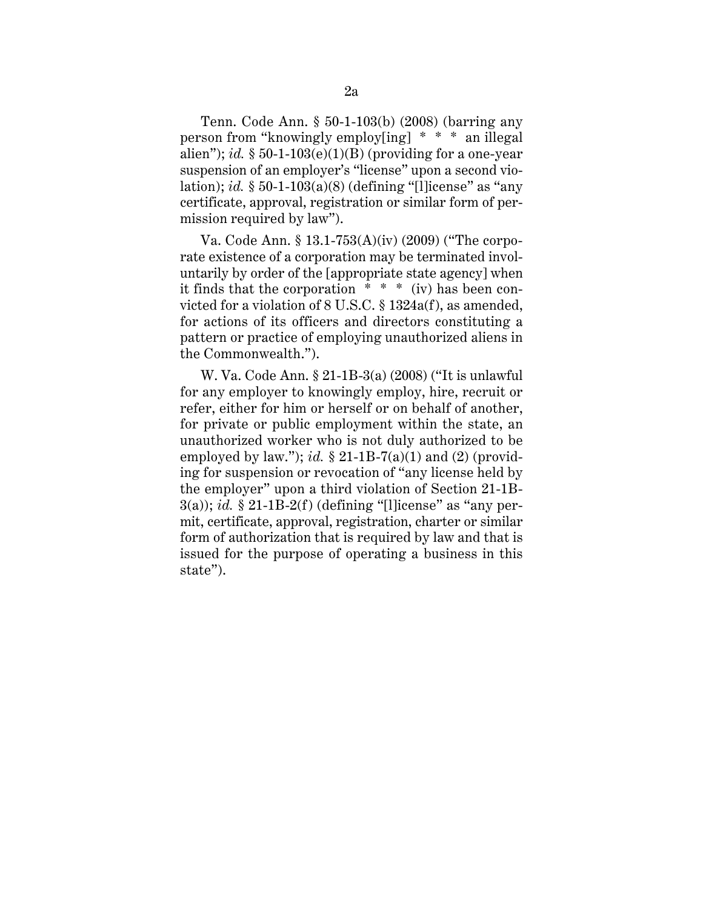Tenn. Code Ann. § 50-1-103(b) (2008) (barring any person from "knowingly employ[ing] \* \* \* an illegal alien"); *id.*  $\S 50$ -1-103(e)(1)(B) (providing for a one-year suspension of an employer's "license" upon a second violation); *id.* § 50-1-103(a)(8) (defining "[l]icense" as "any certificate, approval, registration or similar form of permission required by law").

Va. Code Ann. § 13.1-753(A)(iv) (2009) ("The corporate existence of a corporation may be terminated involuntarily by order of the [appropriate state agency] when it finds that the corporation \* \* \* (iv) has been convicted for a violation of 8 U.S.C. § 1324a(f), as amended, for actions of its officers and directors constituting a pattern or practice of employing unauthorized aliens in the Commonwealth.").

W. Va. Code Ann. § 21-1B-3(a) (2008) ("It is unlawful for any employer to knowingly employ, hire, recruit or refer, either for him or herself or on behalf of another, for private or public employment within the state, an unauthorized worker who is not duly authorized to be employed by law."); *id.*  $\S 21$ -1B-7(a)(1) and (2) (providing for suspension or revocation of "any license held by the employer" upon a third violation of Section 21-1B- $3(a)$ ; *id.* § 21-1B-2(f) (defining "[l]icense" as "any permit, certificate, approval, registration, charter or similar form of authorization that is required by law and that is issued for the purpose of operating a business in this state").